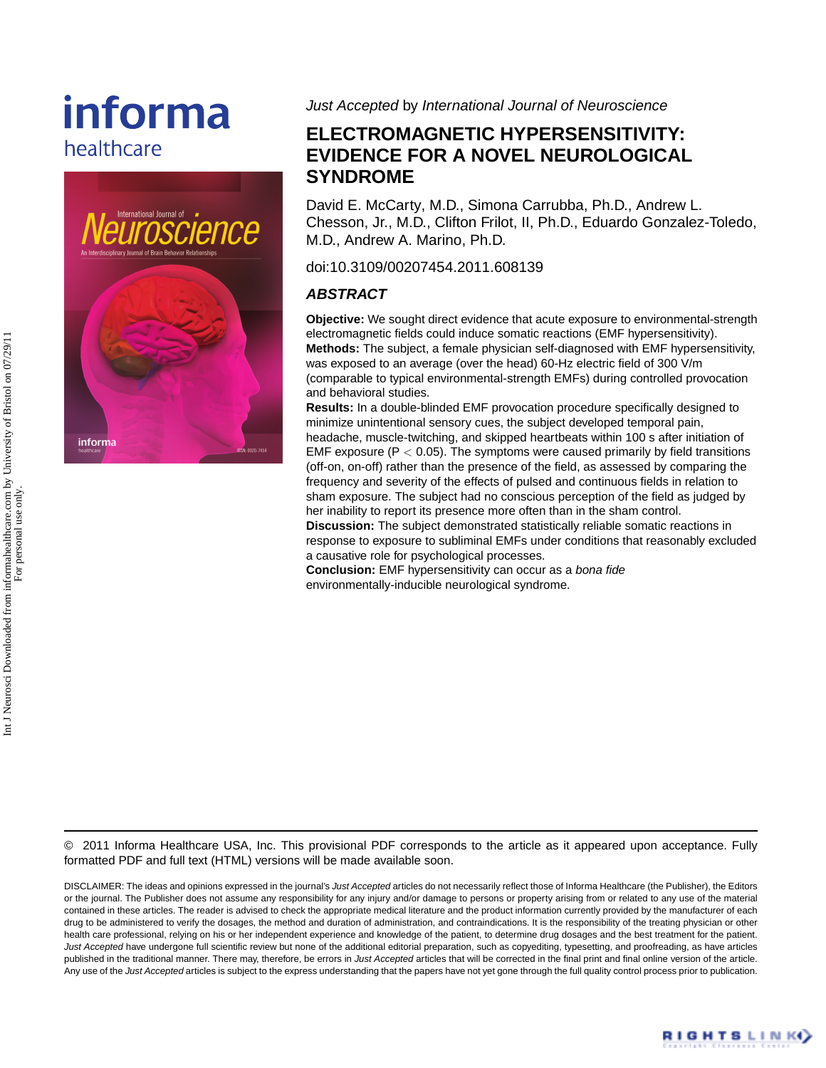# informa healthcare



Just Accepted by International Journal of Neuroscience

# **ELECTROMAGNETIC HYPERSENSITIVITY: EVIDENCE FOR A NOVEL NEUROLOGICAL SYNDROME**

David E. McCarty, M.D., Simona Carrubba, Ph.D., Andrew L. Chesson, Jr., M.D., Clifton Frilot, II, Ph.D., Eduardo Gonzalez-Toledo, M.D., Andrew A. Marino, Ph.D.

doi:10.3109/00207454.2011.608139

### **ABSTRACT**

**Objective:** We sought direct evidence that acute exposure to environmental-strength electromagnetic fields could induce somatic reactions (EMF hypersensitivity). **Methods:** The subject, a female physician self-diagnosed with EMF hypersensitivity, was exposed to an average (over the head) 60-Hz electric field of 300 V/m (comparable to typical environmental-strength EMFs) during controlled provocation and behavioral studies.

**Results:** In a double-blinded EMF provocation procedure specifically designed to minimize unintentional sensory cues, the subject developed temporal pain, headache, muscle-twitching, and skipped heartbeats within 100 s after initiation of EMF exposure ( $P < 0.05$ ). The symptoms were caused primarily by field transitions (off-on, on-off) rather than the presence of the field, as assessed by comparing the frequency and severity of the effects of pulsed and continuous fields in relation to sham exposure. The subject had no conscious perception of the field as judged by her inability to report its presence more often than in the sham control.

**Discussion:** The subject demonstrated statistically reliable somatic reactions in response to exposure to subliminal EMFs under conditions that reasonably excluded a causative role for psychological processes.

**Conclusion:** EMF hypersensitivity can occur as a bona fide environmentally-inducible neurological syndrome.

© 2011 Informa Healthcare USA, Inc. This provisional PDF corresponds to the article as it appeared upon acceptance. Fully formatted PDF and full text (HTML) versions will be made available soon.

DISCLAIMER: The ideas and opinions expressed in the journal's Just Accepted articles do not necessarily reflect those of Informa Healthcare (the Publisher), the Editors or the journal. The Publisher does not assume any responsibility for any injury and/or damage to persons or property arising from or related to any use of the material contained in these articles. The reader is advised to check the appropriate medical literature and the product information currently provided by the manufacturer of each drug to be administered to verify the dosages, the method and duration of administration, and contraindications. It is the responsibility of the treating physician or other health care professional, relying on his or her independent experience and knowledge of the patient, to determine drug dosages and the best treatment for the patient. Just Accepted have undergone full scientific review but none of the additional editorial preparation, such as copyediting, typesetting, and proofreading, as have articles published in the traditional manner. There may, therefore, be errors in Just Accepted articles that will be corrected in the final print and final online version of the article. Any use of the Just Accepted articles is subject to the express understanding that the papers have not yet gone through the full quality control process prior to publication.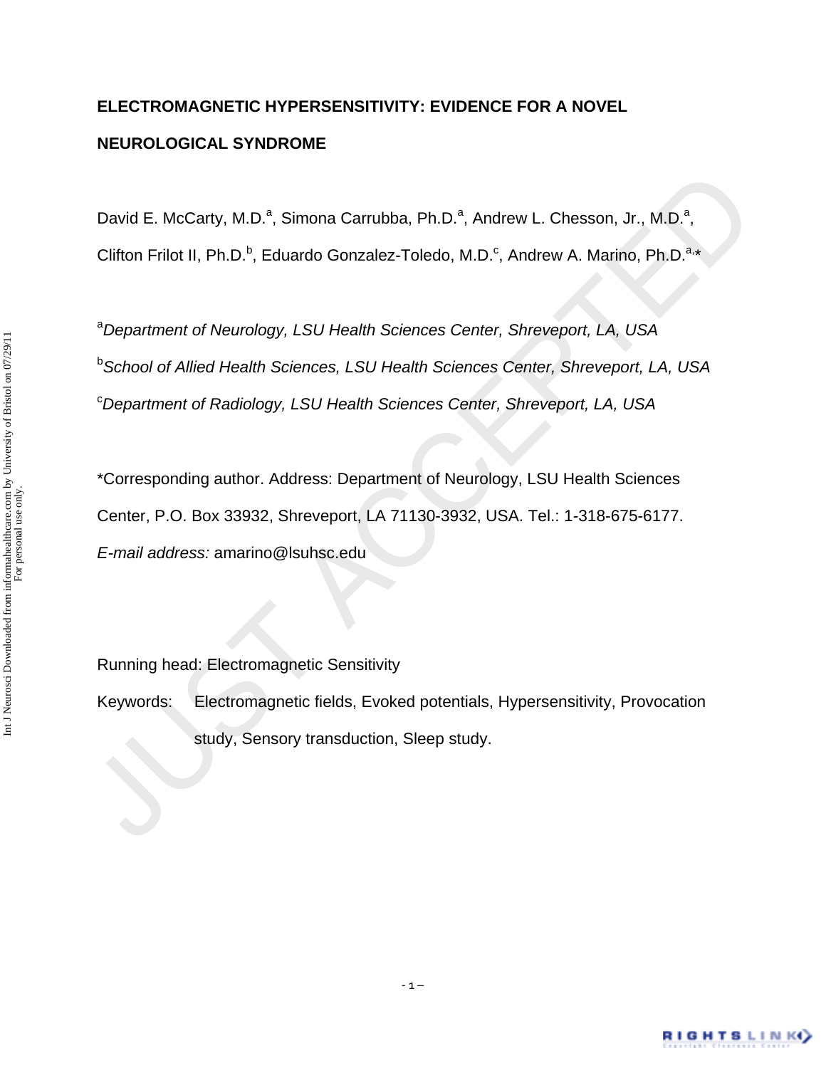# **ELECTROMAGNETIC HYPERSENSITIVITY: EVIDENCE FOR A NOVEL NEUROLOGICAL SYNDROME**

David E. McCarty, M.D.<sup>a</sup>, Simona Carrubba, Ph.D.<sup>a</sup>, Andrew L. Chesson, Jr., M.D.<sup>a</sup>, Clifton Frilot II, Ph.D.<sup>b</sup>, Eduardo Gonzalez-Toledo, M.D.<sup>c</sup>, Andrew A. Marino, Ph.D.<sup>a,\*</sup>

David E. McCarty, M.D.<sup>e</sup>, Simona Carrubba, Ph.D.<sup>9</sup>, Andrew L. Chesson, Jr., M.D.<sup>9</sup>,<br>Clifton Frilot II, Ph.D.<sup>b</sup>, Eduardo Gonzalez-Toledo, M.D.<sup>6</sup>, Andrew A. Marino, Ph.D.<sup>8</sup><br><sup>a</sup> Department of Neurology, LSU Health Scien a *Department of Neurology, LSU Health Sciences Center, Shreveport, LA, USA* b *School of Allied Health Sciences, LSU Health Sciences Center, Shreveport, LA, USA* c *Department of Radiology, LSU Health Sciences Center, Shreveport, LA, USA*

\*Corresponding author. Address: Department of Neurology, LSU Health Sciences Center, P.O. Box 33932, Shreveport, LA 71130-3932, USA. Tel.: 1-318-675-6177. *E-mail address:* amarino@lsuhsc.edu

Running head: Electromagnetic Sensitivity

Keywords: Electromagnetic fields, Evoked potentials, Hypersensitivity, Provocation study, Sensory transduction, Sleep study.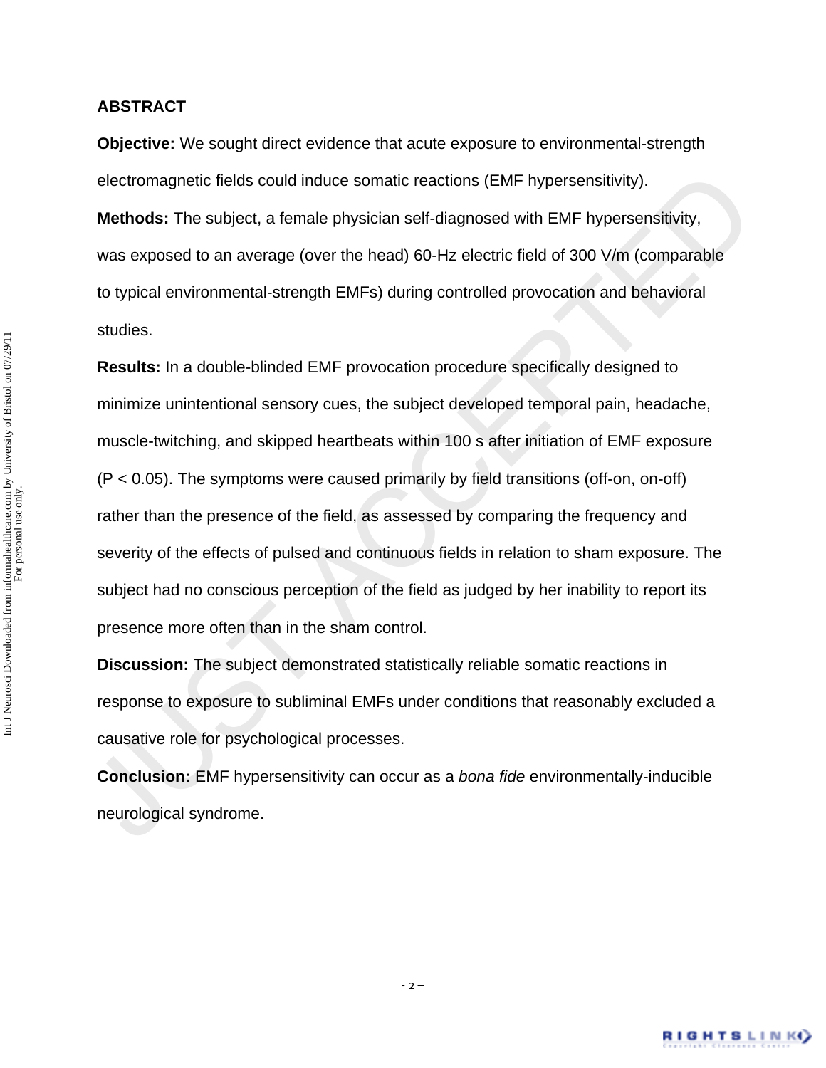#### **ABSTRACT**

**Objective:** We sought direct evidence that acute exposure to environmental-strength electromagnetic fields could induce somatic reactions (EMF hypersensitivity). **Methods:** The subject, a female physician self-diagnosed with EMF hypersensitivity, was exposed to an average (over the head) 60-Hz electric field of 300 V/m (comparable to typical environmental-strength EMFs) during controlled provocation and behavioral studies.

electromagnetic fields could induce somatic reactions (EMF hypersensitivity).<br>
Methods: The subject, a female physician self-diagnosed with EMF hypersensitivity,<br>
was exposed to an average (over the head) 60-Hz electric fi **Results:** In a double-blinded EMF provocation procedure specifically designed to minimize unintentional sensory cues, the subject developed temporal pain, headache, muscle-twitching, and skipped heartbeats within 100 s after initiation of EMF exposure (P < 0.05). The symptoms were caused primarily by field transitions (off-on, on-off) rather than the presence of the field, as assessed by comparing the frequency and severity of the effects of pulsed and continuous fields in relation to sham exposure. The subject had no conscious perception of the field as judged by her inability to report its presence more often than in the sham control.

**Discussion:** The subject demonstrated statistically reliable somatic reactions in response to exposure to subliminal EMFs under conditions that reasonably excluded a causative role for psychological processes.

**Conclusion:** EMF hypersensitivity can occur as a *bona fide* environmentally-inducible neurological syndrome.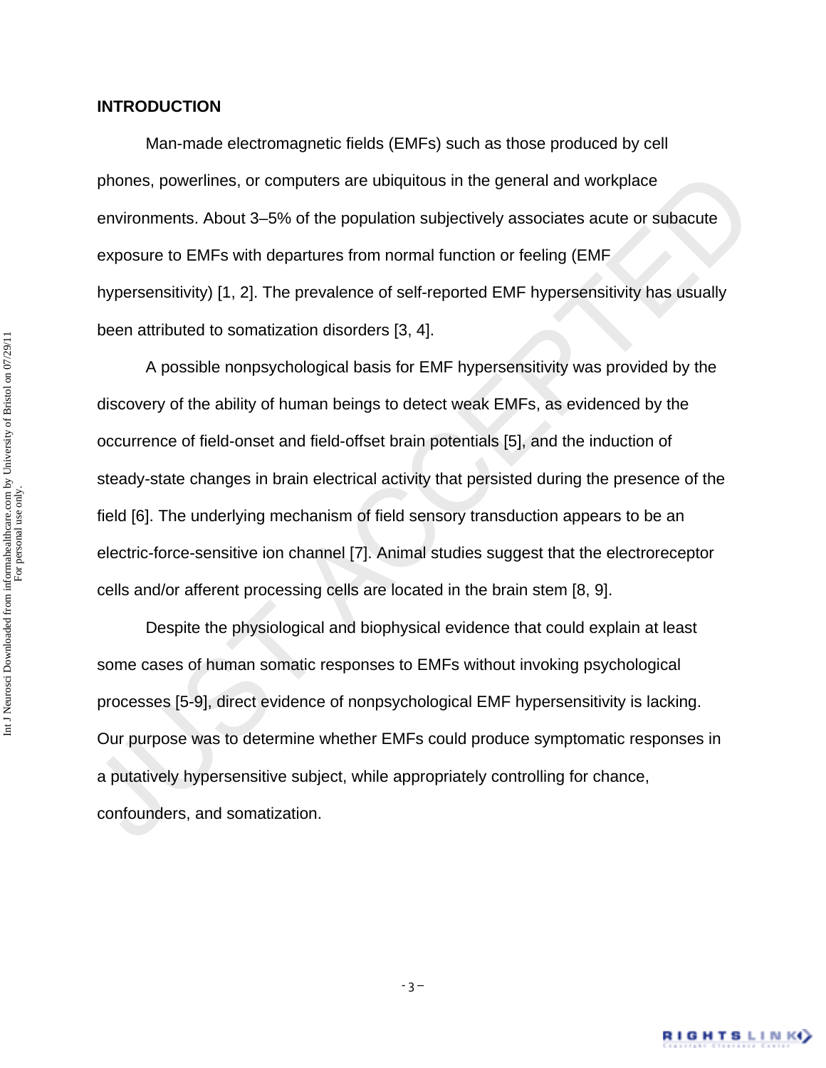Man-made electromagnetic fields (EMFs) such as those produced by cell phones, powerlines, or computers are ubiquitous in the general and workplace environments. About 3–5% of the population subjectively associates acute or subacute exposure to EMFs with departures from normal function or feeling (EMF hypersensitivity) [1, 2]. The prevalence of self-reported EMF hypersensitivity has usually been attributed to somatization disorders [3, 4].

phones, powerlines, or computers are ubiquitous in the general and workplace<br>environments. About 3–5% of the population subjectively associates acute or subacute<br>exposure to EMFs with departures from normal function or fee A possible nonpsychological basis for EMF hypersensitivity was provided by the discovery of the ability of human beings to detect weak EMFs, as evidenced by the occurrence of field-onset and field-offset brain potentials [5], and the induction of steady-state changes in brain electrical activity that persisted during the presence of the field [6]. The underlying mechanism of field sensory transduction appears to be an electric-force-sensitive ion channel [7]. Animal studies suggest that the electroreceptor cells and/or afferent processing cells are located in the brain stem [8, 9].

 Despite the physiological and biophysical evidence that could explain at least some cases of human somatic responses to EMFs without invoking psychological processes [5-9], direct evidence of nonpsychological EMF hypersensitivity is lacking. Our purpose was to determine whether EMFs could produce symptomatic responses in a putatively hypersensitive subject, while appropriately controlling for chance, confounders, and somatization.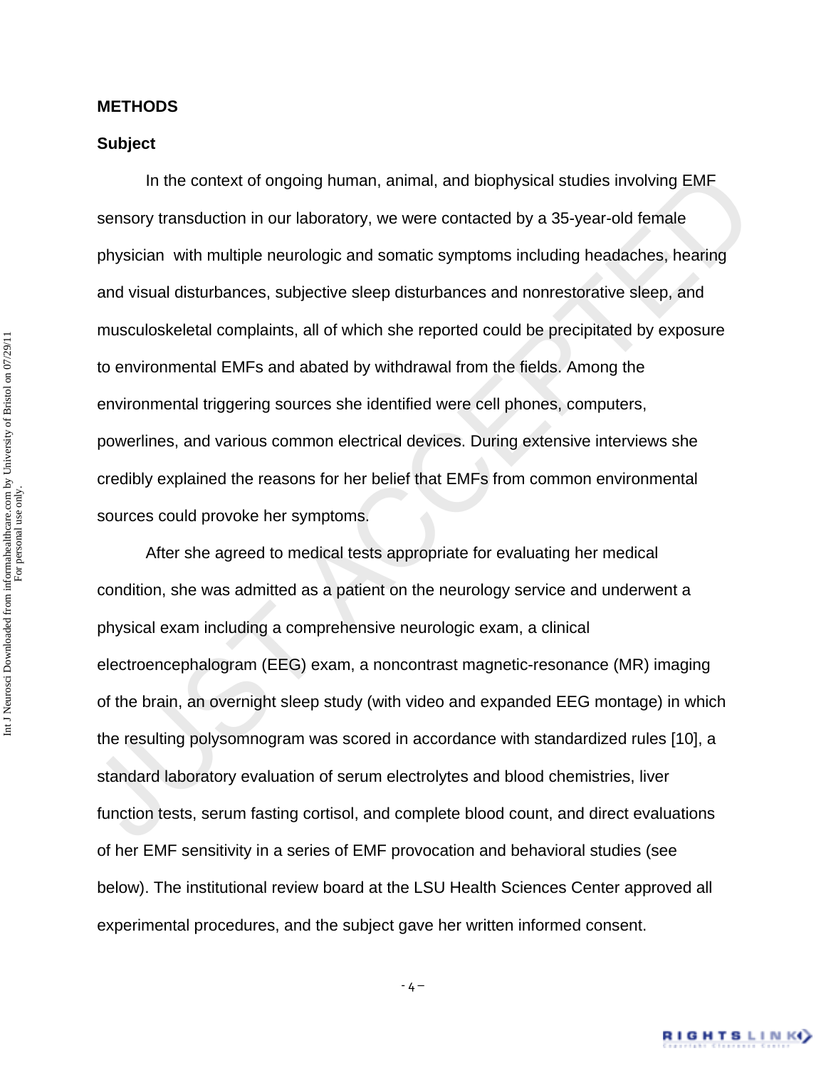#### **METHODS**

#### **Subject**

In the context of ongoing human, animal, and biophysical studies involving EMF<br>sensory transduction in our laboratory, we were contacted by a 35-year-old female<br>physician with multiple neurologic and somatic symptoms inclu In the context of ongoing human, animal, and biophysical studies involving EMF sensory transduction in our laboratory, we were contacted by a 35-year-old female physician with multiple neurologic and somatic symptoms including headaches, hearing and visual disturbances, subjective sleep disturbances and nonrestorative sleep, and musculoskeletal complaints, all of which she reported could be precipitated by exposure to environmental EMFs and abated by withdrawal from the fields. Among the environmental triggering sources she identified were cell phones, computers, powerlines, and various common electrical devices. During extensive interviews she credibly explained the reasons for her belief that EMFs from common environmental sources could provoke her symptoms.

 After she agreed to medical tests appropriate for evaluating her medical condition, she was admitted as a patient on the neurology service and underwent a physical exam including a comprehensive neurologic exam, a clinical electroencephalogram (EEG) exam, a noncontrast magnetic-resonance (MR) imaging of the brain, an overnight sleep study (with video and expanded EEG montage) in which the resulting polysomnogram was scored in accordance with standardized rules [10], a standard laboratory evaluation of serum electrolytes and blood chemistries, liver function tests, serum fasting cortisol, and complete blood count, and direct evaluations of her EMF sensitivity in a series of EMF provocation and behavioral studies (see below). The institutional review board at the LSU Health Sciences Center approved all experimental procedures, and the subject gave her written informed consent.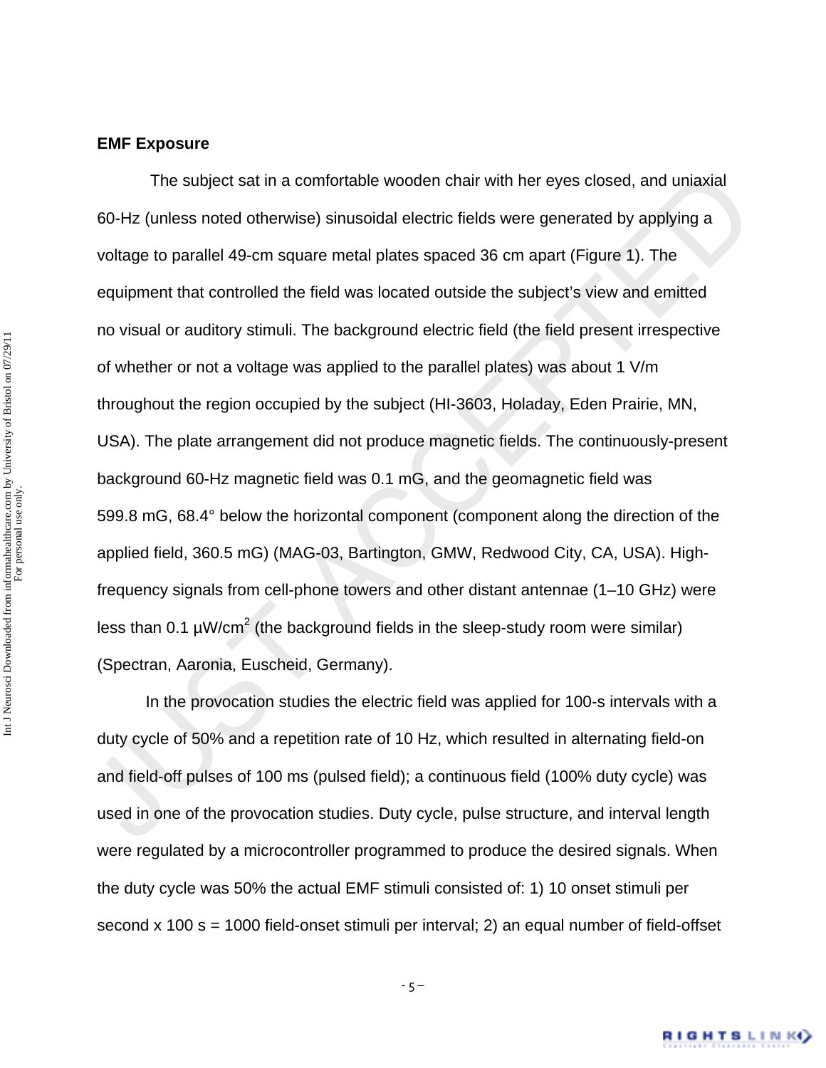#### **EMF Exposure**

The subject sat in a comfortable wooden chair with her eyes closed, and uniaxial<br>60-Hz (unless noted otherwise) sinusoidal electric fields were generated by applying a<br>voltage to parallel 49-cm square metal plates spaced The subject sat in a comfortable wooden chair with her eyes closed, and uniaxial 60-Hz (unless noted otherwise) sinusoidal electric fields were generated by applying a voltage to parallel 49-cm square metal plates spaced 36 cm apart (Figure 1). The equipment that controlled the field was located outside the subject's view and emitted no visual or auditory stimuli. The background electric field (the field present irrespective of whether or not a voltage was applied to the parallel plates) was about 1 V/m throughout the region occupied by the subject (HI-3603, Holaday, Eden Prairie, MN, USA). The plate arrangement did not produce magnetic fields. The continuously-present background 60-Hz magnetic field was 0.1 mG, and the geomagnetic field was 599.8 mG, 68.4° below the horizontal component (component along the direction of the applied field, 360.5 mG) (MAG-03, Bartington, GMW, Redwood City, CA, USA). Highfrequency signals from cell-phone towers and other distant antennae (1–10 GHz) were less than 0.1  $\mu$ W/cm<sup>2</sup> (the background fields in the sleep-study room were similar) (Spectran, Aaronia, Euscheid, Germany).

In the provocation studies the electric field was applied for 100-s intervals with a duty cycle of 50% and a repetition rate of 10 Hz, which resulted in alternating field-on and field-off pulses of 100 ms (pulsed field); a continuous field (100% duty cycle) was used in one of the provocation studies. Duty cycle, pulse structure, and interval length were regulated by a microcontroller programmed to produce the desired signals. When the duty cycle was 50% the actual EMF stimuli consisted of: 1) 10 onset stimuli per second  $\times$  100 s = 1000 field-onset stimuli per interval; 2) an equal number of field-offset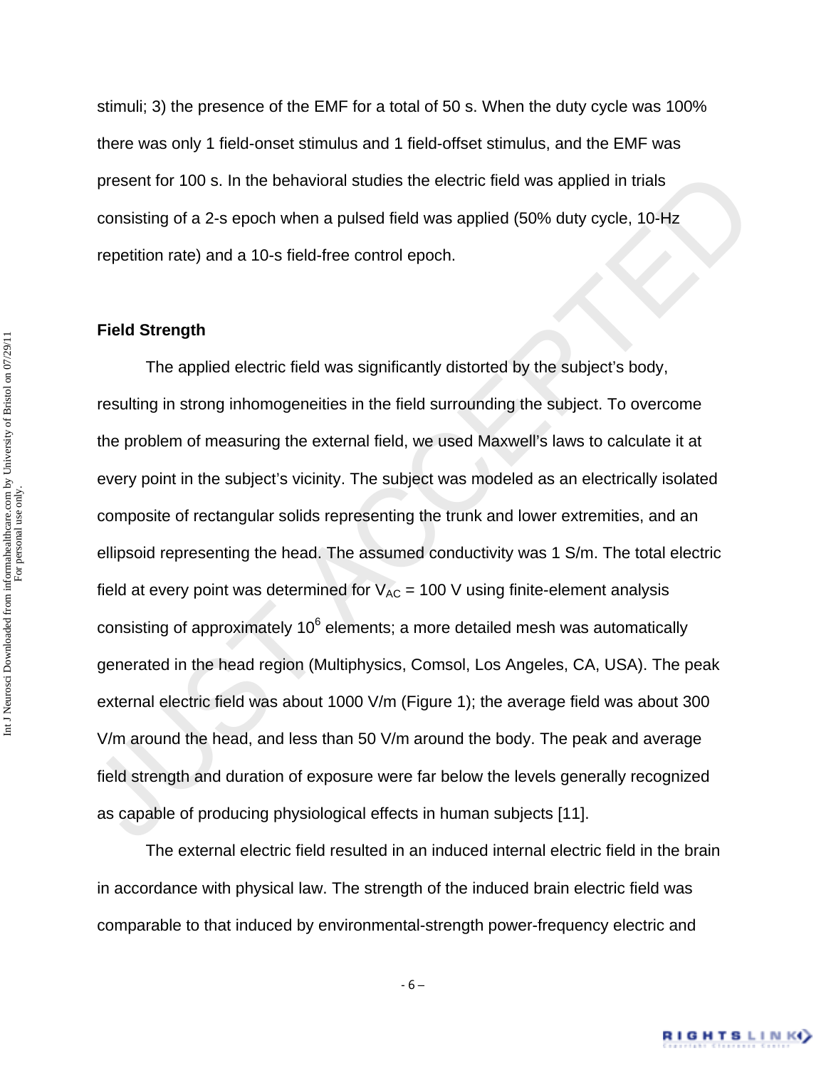stimuli; 3) the presence of the EMF for a total of 50 s. When the duty cycle was 100% there was only 1 field-onset stimulus and 1 field-offset stimulus, and the EMF was present for 100 s. In the behavioral studies the electric field was applied in trials consisting of a 2-s epoch when a pulsed field was applied (50% duty cycle, 10-Hz repetition rate) and a 10-s field-free control epoch.

#### **Field Strength**

present for 100 s. In the behavioral studies the electric field was applied in trials<br>consisting of a 2-s epoch when a pulsed field was applied (50% duty cycle, 10-Hz<br>repetition rate) and a 10-s field-free control epoch.<br> The applied electric field was significantly distorted by the subject's body, resulting in strong inhomogeneities in the field surrounding the subject. To overcome the problem of measuring the external field, we used Maxwell's laws to calculate it at every point in the subject's vicinity. The subject was modeled as an electrically isolated composite of rectangular solids representing the trunk and lower extremities, and an ellipsoid representing the head. The assumed conductivity was 1 S/m. The total electric field at every point was determined for  $V_{AC}$  = 100 V using finite-element analysis consisting of approximately 10 $^6$  elements; a more detailed mesh was automatically generated in the head region (Multiphysics, Comsol, Los Angeles, CA, USA). The peak external electric field was about 1000 V/m (Figure 1); the average field was about 300 V/m around the head, and less than 50 V/m around the body. The peak and average field strength and duration of exposure were far below the levels generally recognized as capable of producing physiological effects in human subjects [11].

The external electric field resulted in an induced internal electric field in the brain in accordance with physical law. The strength of the induced brain electric field was comparable to that induced by environmental-strength power-frequency electric and

‐ 6 –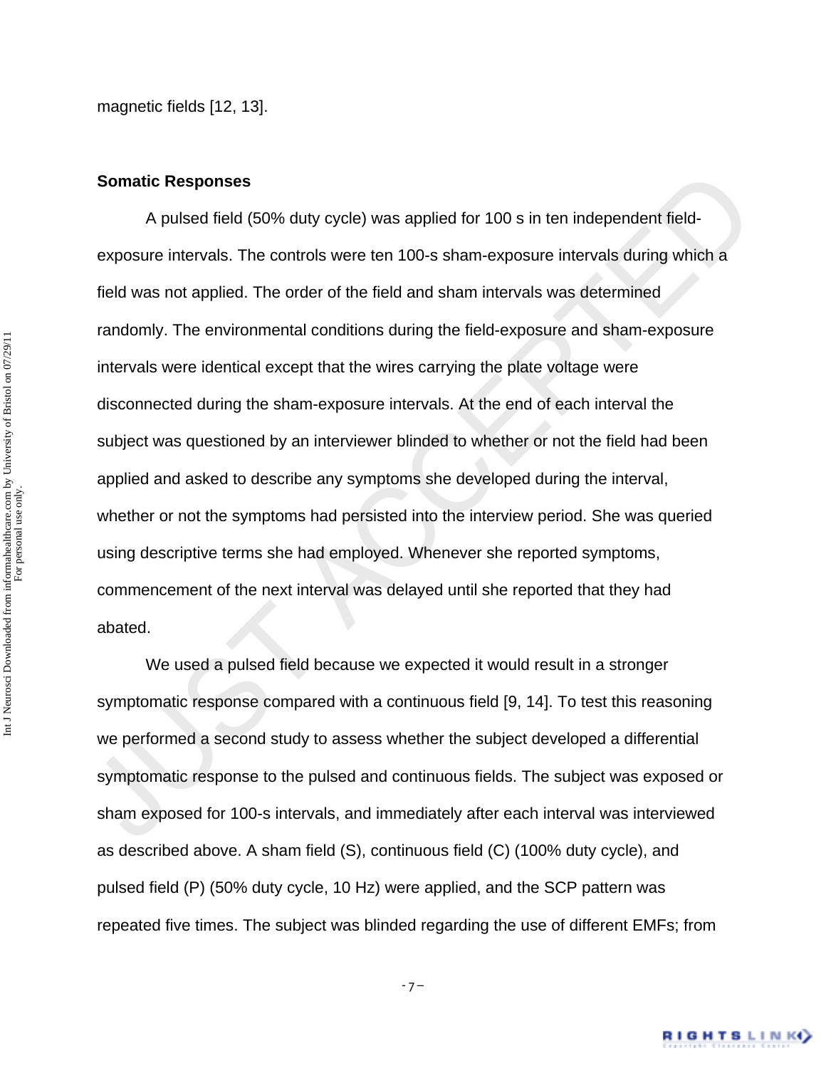#### **Somatic Responses**

Somatic Responses<br>
A pulsed field (50% duty cycle) was applied for 100 s in ten independent field-<br>
exposure intervals. The controls were ten 100-s sham-exposure intervals during which a<br>
field was not applied. The order o A pulsed field (50% duty cycle) was applied for 100 s in ten independent fieldexposure intervals. The controls were ten 100-s sham-exposure intervals during which a field was not applied. The order of the field and sham intervals was determined randomly. The environmental conditions during the field-exposure and sham-exposure intervals were identical except that the wires carrying the plate voltage were disconnected during the sham-exposure intervals. At the end of each interval the subject was questioned by an interviewer blinded to whether or not the field had been applied and asked to describe any symptoms she developed during the interval, whether or not the symptoms had persisted into the interview period. She was queried using descriptive terms she had employed. Whenever she reported symptoms, commencement of the next interval was delayed until she reported that they had abated.

 We used a pulsed field because we expected it would result in a stronger symptomatic response compared with a continuous field [9, 14]. To test this reasoning we performed a second study to assess whether the subject developed a differential symptomatic response to the pulsed and continuous fields. The subject was exposed or sham exposed for 100-s intervals, and immediately after each interval was interviewed as described above. A sham field (S), continuous field (C) (100% duty cycle), and pulsed field (P) (50% duty cycle, 10 Hz) were applied, and the SCP pattern was repeated five times. The subject was blinded regarding the use of different EMFs; from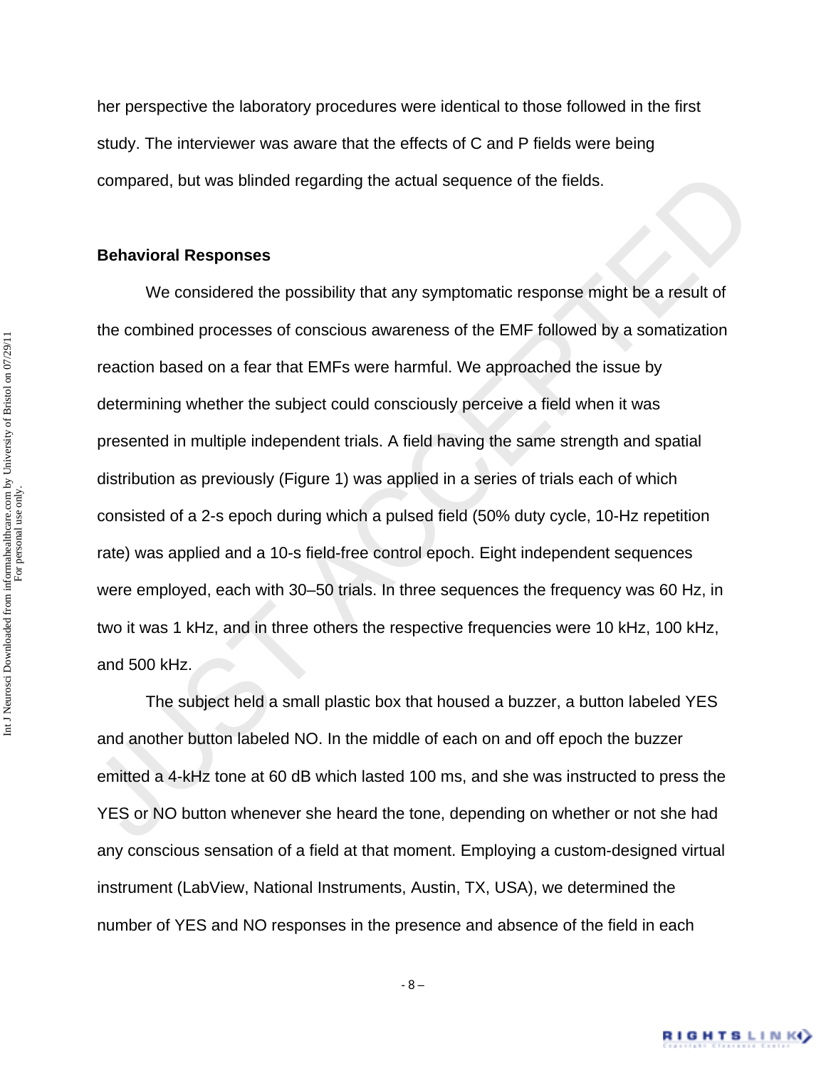her perspective the laboratory procedures were identical to those followed in the first study. The interviewer was aware that the effects of C and P fields were being compared, but was blinded regarding the actual sequence of the fields.

#### **Behavioral Responses**

compared, but was blinded regarding the actual sequence of the fields.<br>
Behavioral Responses<br>
We considered the possibility that any symptomatic response might be a result of<br>
the combined processes of conscious awareness We considered the possibility that any symptomatic response might be a result of the combined processes of conscious awareness of the EMF followed by a somatization reaction based on a fear that EMFs were harmful. We approached the issue by determining whether the subject could consciously perceive a field when it was presented in multiple independent trials. A field having the same strength and spatial distribution as previously (Figure 1) was applied in a series of trials each of which consisted of a 2-s epoch during which a pulsed field (50% duty cycle, 10-Hz repetition rate) was applied and a 10-s field-free control epoch. Eight independent sequences were employed, each with 30–50 trials. In three sequences the frequency was 60 Hz, in two it was 1 kHz, and in three others the respective frequencies were 10 kHz, 100 kHz, and 500 kHz.

 The subject held a small plastic box that housed a buzzer, a button labeled YES and another button labeled NO. In the middle of each on and off epoch the buzzer emitted a 4-kHz tone at 60 dB which lasted 100 ms, and she was instructed to press the YES or NO button whenever she heard the tone, depending on whether or not she had any conscious sensation of a field at that moment. Employing a custom-designed virtual instrument (LabView, National Instruments, Austin, TX, USA), we determined the number of YES and NO responses in the presence and absence of the field in each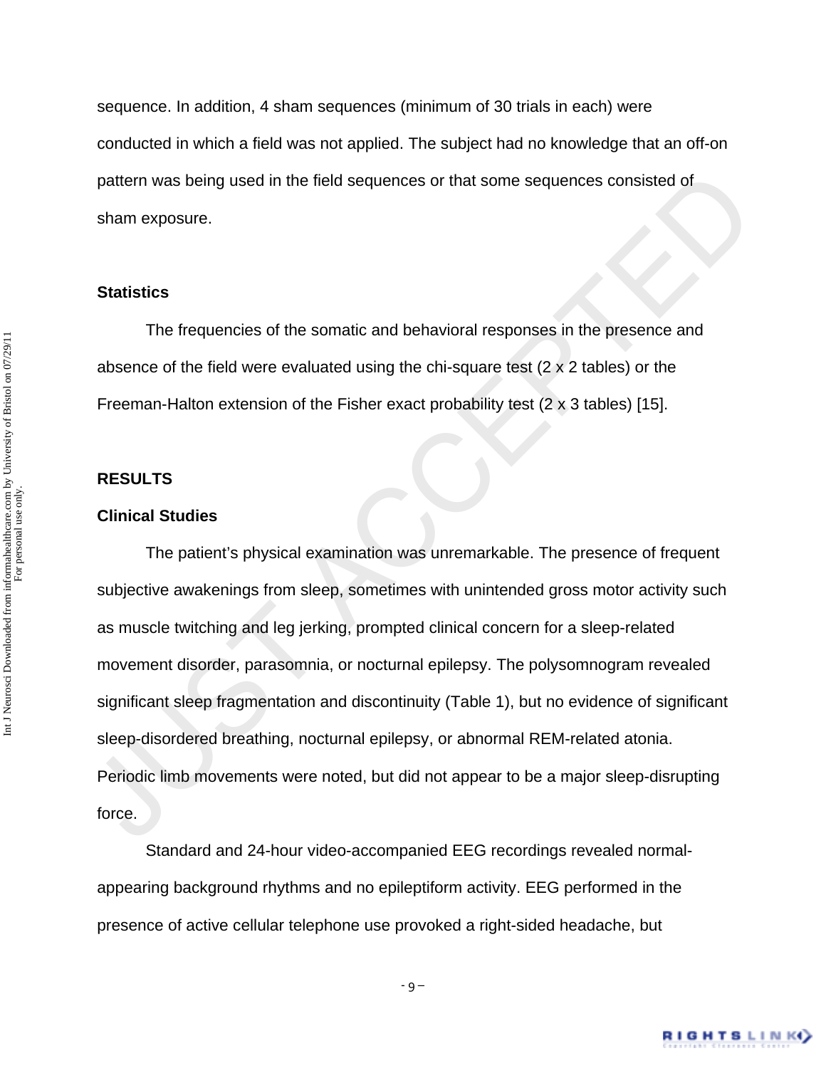sequence. In addition, 4 sham sequences (minimum of 30 trials in each) were conducted in which a field was not applied. The subject had no knowledge that an off-on pattern was being used in the field sequences or that some sequences consisted of sham exposure.

#### **Statistics**

 The frequencies of the somatic and behavioral responses in the presence and absence of the field were evaluated using the chi-square test (2 x 2 tables) or the Freeman-Halton extension of the Fisher exact probability test (2 x 3 tables) [15].

#### **RESULTS**

#### **Clinical Studies**

pattern was being used in the field sequences or that some sequences consisted of<br>
sham exposure.<br> **Statistics**<br>
The frequencies of the somatic and behavioral responses in the presence and<br>
absence of the field were evalua The patient's physical examination was unremarkable. The presence of frequent subjective awakenings from sleep, sometimes with unintended gross motor activity such as muscle twitching and leg jerking, prompted clinical concern for a sleep-related movement disorder, parasomnia, or nocturnal epilepsy. The polysomnogram revealed significant sleep fragmentation and discontinuity (Table 1), but no evidence of significant sleep-disordered breathing, nocturnal epilepsy, or abnormal REM-related atonia. Periodic limb movements were noted, but did not appear to be a major sleep-disrupting force.

 Standard and 24-hour video-accompanied EEG recordings revealed normalappearing background rhythms and no epileptiform activity. EEG performed in the presence of active cellular telephone use provoked a right-sided headache, but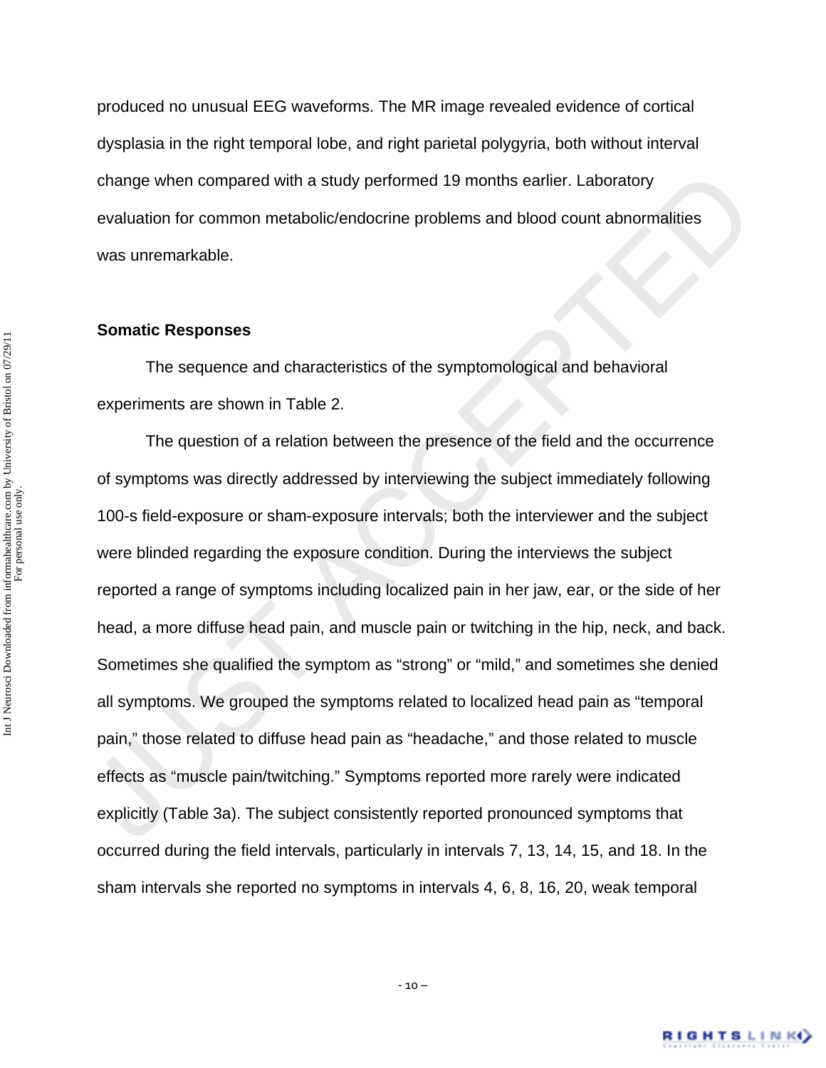produced no unusual EEG waveforms. The MR image revealed evidence of cortical dysplasia in the right temporal lobe, and right parietal polygyria, both without interval change when compared with a study performed 19 months earlier. Laboratory evaluation for common metabolic/endocrine problems and blood count abnormalities was unremarkable.

#### **Somatic Responses**

 The sequence and characteristics of the symptomological and behavioral experiments are shown in Table 2.

change when compared with a study performed 19 months earlier. Laboratory<br>evaluation for common metabolic/endocrine problems and blood count abnormalities<br>was unremarkable.<br>Somatic Responses<br>The sequence and characteristic The question of a relation between the presence of the field and the occurrence of symptoms was directly addressed by interviewing the subject immediately following 100-s field-exposure or sham-exposure intervals; both the interviewer and the subject were blinded regarding the exposure condition. During the interviews the subject reported a range of symptoms including localized pain in her jaw, ear, or the side of her head, a more diffuse head pain, and muscle pain or twitching in the hip, neck, and back. Sometimes she qualified the symptom as "strong" or "mild," and sometimes she denied all symptoms. We grouped the symptoms related to localized head pain as "temporal pain," those related to diffuse head pain as "headache," and those related to muscle effects as "muscle pain/twitching." Symptoms reported more rarely were indicated explicitly (Table 3a). The subject consistently reported pronounced symptoms that occurred during the field intervals, particularly in intervals 7, 13, 14, 15, and 18. In the sham intervals she reported no symptoms in intervals 4, 6, 8, 16, 20, weak temporal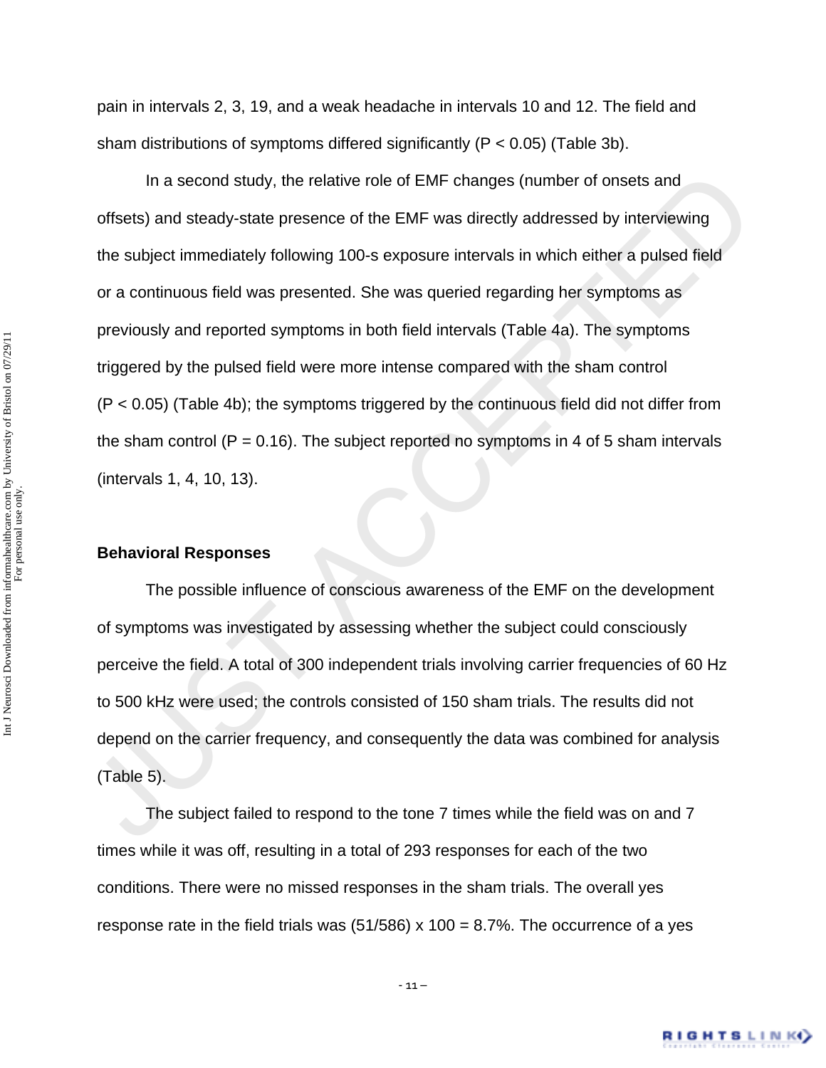pain in intervals 2, 3, 19, and a weak headache in intervals 10 and 12. The field and sham distributions of symptoms differed significantly (P < 0.05) (Table 3b).

In a second study, the relative role of EMF changes (number of onsets and<br>offsets) and steady-state presence of the EMF was directly addressed by interviewing<br>the subject immediately following 100-s exposure intervals in In a second study, the relative role of EMF changes (number of onsets and offsets) and steady-state presence of the EMF was directly addressed by interviewing the subject immediately following 100-s exposure intervals in which either a pulsed field or a continuous field was presented. She was queried regarding her symptoms as previously and reported symptoms in both field intervals (Table 4a). The symptoms triggered by the pulsed field were more intense compared with the sham control (P < 0.05) (Table 4b); the symptoms triggered by the continuous field did not differ from the sham control ( $P = 0.16$ ). The subject reported no symptoms in 4 of 5 sham intervals (intervals 1, 4, 10, 13).

#### **Behavioral Responses**

 The possible influence of conscious awareness of the EMF on the development of symptoms was investigated by assessing whether the subject could consciously perceive the field. A total of 300 independent trials involving carrier frequencies of 60 Hz to 500 kHz were used; the controls consisted of 150 sham trials. The results did not depend on the carrier frequency, and consequently the data was combined for analysis (Table 5).

 The subject failed to respond to the tone 7 times while the field was on and 7 times while it was off, resulting in a total of 293 responses for each of the two conditions. There were no missed responses in the sham trials. The overall yes response rate in the field trials was  $(51/586) \times 100 = 8.7\%$ . The occurrence of a yes

 $-11 -$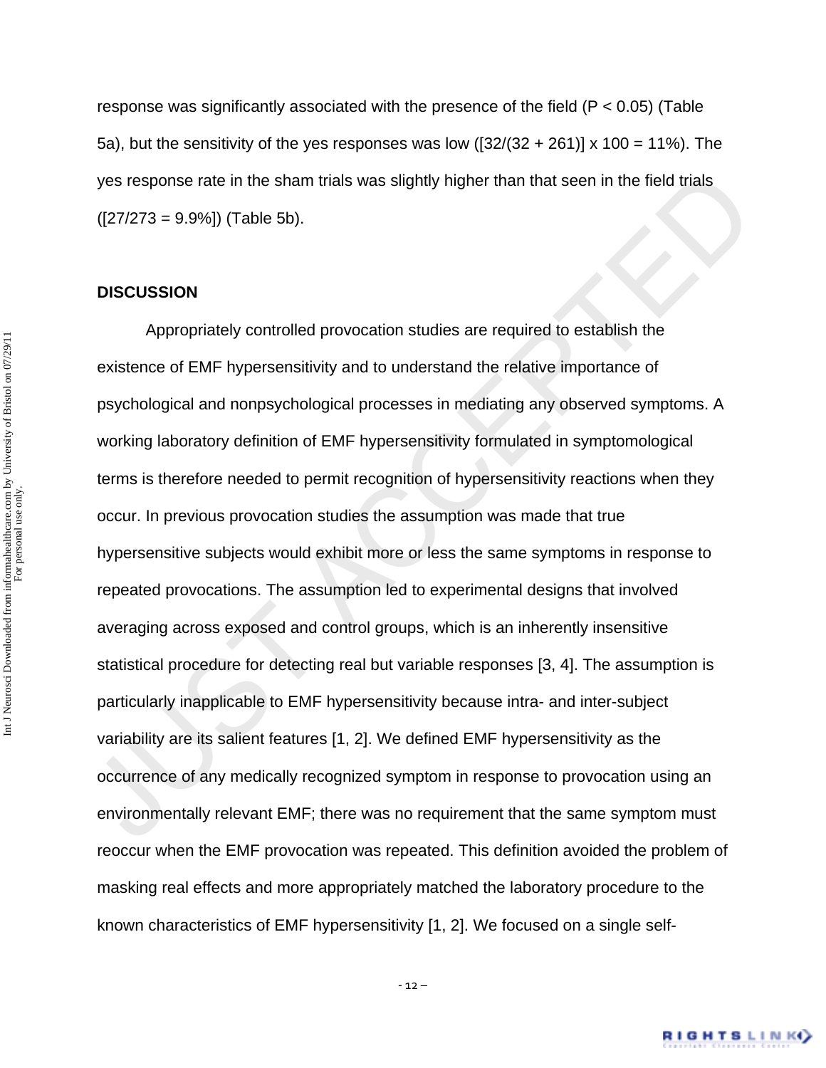response was significantly associated with the presence of the field (P < 0.05) (Table 5a), but the sensitivity of the yes responses was low  $(32/(32 + 261))$  x 100 = 11%). The yes response rate in the sham trials was slightly higher than that seen in the field trials  $([27/273 = 9.9\%])$  (Table 5b).

#### **DISCUSSION**

yes response rate in the sham trials was slightly higher than that seen in the field trials<br>([27/273 = 9.9%]) (Table 5b).<br><br><br><br>**DISCUSSION**<br><br><br><br><br>**Appropriately controlled provocation studies are required to establish the**<br>exi Appropriately controlled provocation studies are required to establish the existence of EMF hypersensitivity and to understand the relative importance of psychological and nonpsychological processes in mediating any observed symptoms. A working laboratory definition of EMF hypersensitivity formulated in symptomological terms is therefore needed to permit recognition of hypersensitivity reactions when they occur. In previous provocation studies the assumption was made that true hypersensitive subjects would exhibit more or less the same symptoms in response to repeated provocations. The assumption led to experimental designs that involved averaging across exposed and control groups, which is an inherently insensitive statistical procedure for detecting real but variable responses [3, 4]. The assumption is particularly inapplicable to EMF hypersensitivity because intra- and inter-subject variability are its salient features [1, 2]. We defined EMF hypersensitivity as the occurrence of any medically recognized symptom in response to provocation using an environmentally relevant EMF; there was no requirement that the same symptom must reoccur when the EMF provocation was repeated. This definition avoided the problem of masking real effects and more appropriately matched the laboratory procedure to the known characteristics of EMF hypersensitivity [1, 2]. We focused on a single self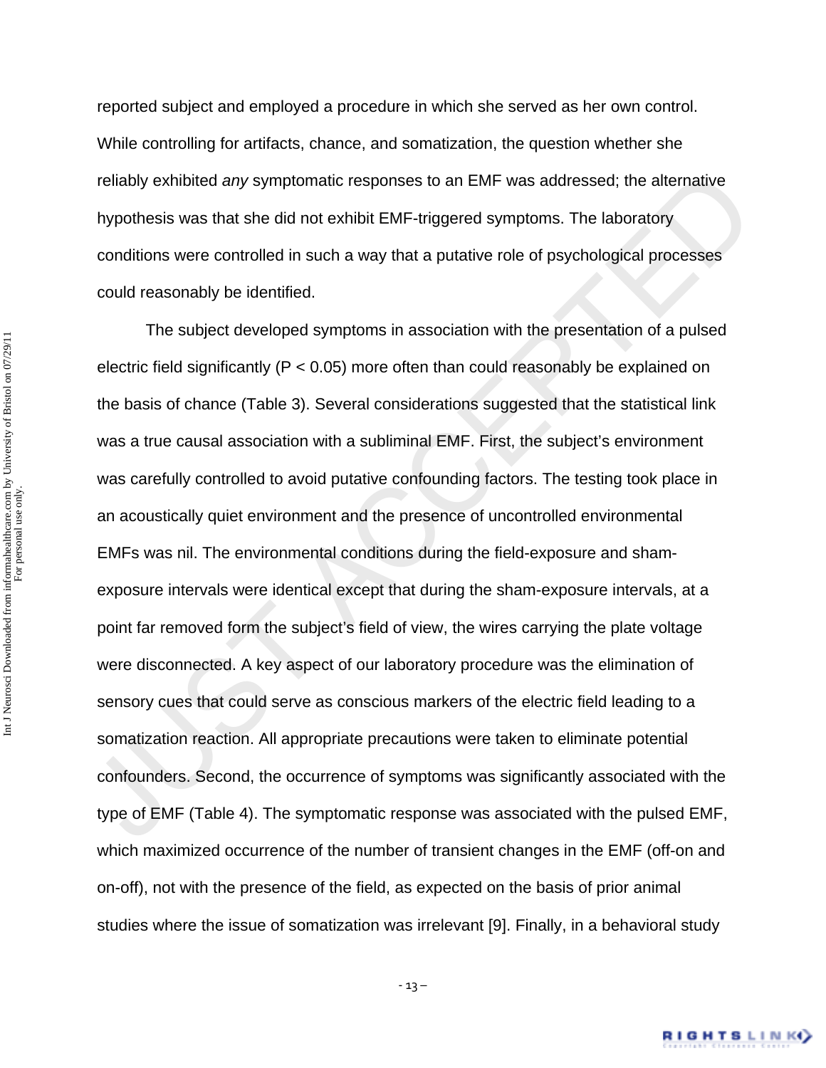reported subject and employed a procedure in which she served as her own control. While controlling for artifacts, chance, and somatization, the question whether she reliably exhibited *any* symptomatic responses to an EMF was addressed; the alternative hypothesis was that she did not exhibit EMF-triggered symptoms. The laboratory conditions were controlled in such a way that a putative role of psychological processes could reasonably be identified.

reliably exhibited any symptomatic responses to an EMF was addressed; the alternative<br>hypothesis was that she did not exhibit EMF-triggered symptoms. The laboratory<br>conditions were controlled in such a way that a putative The subject developed symptoms in association with the presentation of a pulsed electric field significantly (P < 0.05) more often than could reasonably be explained on the basis of chance (Table 3). Several considerations suggested that the statistical link was a true causal association with a subliminal EMF. First, the subject's environment was carefully controlled to avoid putative confounding factors. The testing took place in an acoustically quiet environment and the presence of uncontrolled environmental EMFs was nil. The environmental conditions during the field-exposure and shamexposure intervals were identical except that during the sham-exposure intervals, at a point far removed form the subject's field of view, the wires carrying the plate voltage were disconnected. A key aspect of our laboratory procedure was the elimination of sensory cues that could serve as conscious markers of the electric field leading to a somatization reaction. All appropriate precautions were taken to eliminate potential confounders. Second, the occurrence of symptoms was significantly associated with the type of EMF (Table 4). The symptomatic response was associated with the pulsed EMF, which maximized occurrence of the number of transient changes in the EMF (off-on and on-off), not with the presence of the field, as expected on the basis of prior animal studies where the issue of somatization was irrelevant [9]. Finally, in a behavioral study

–  $13 -$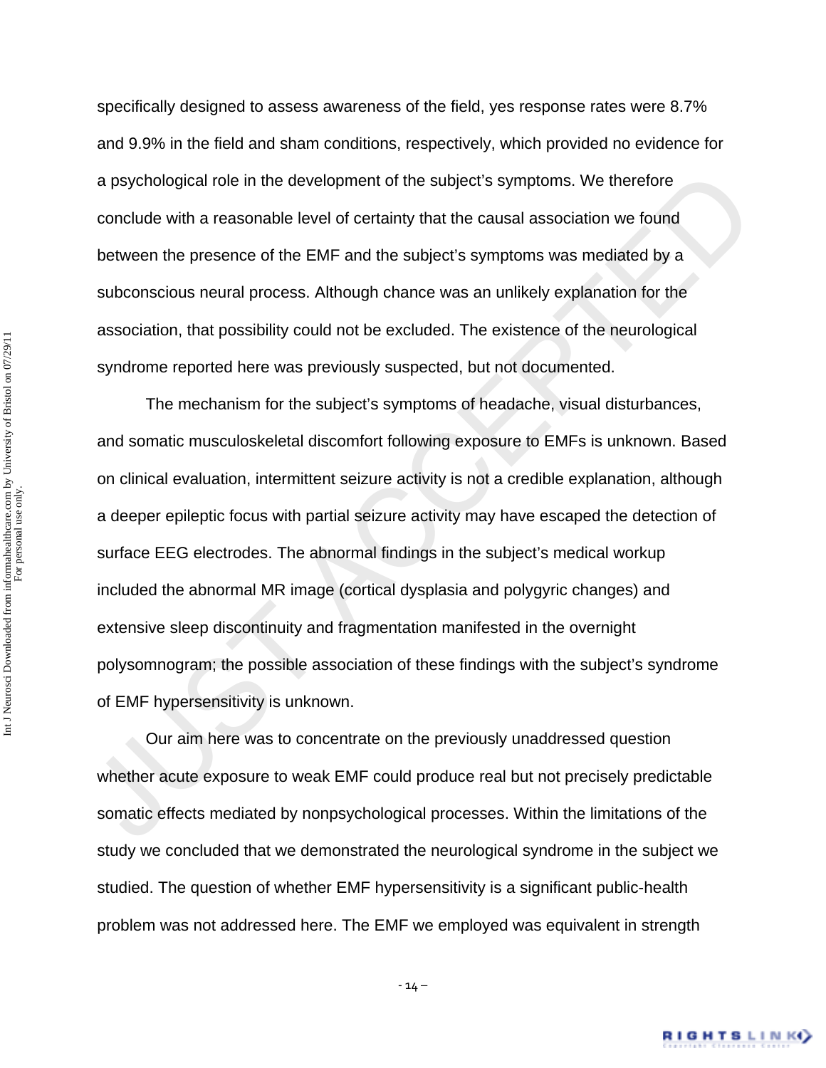specifically designed to assess awareness of the field, yes response rates were 8.7% and 9.9% in the field and sham conditions, respectively, which provided no evidence for a psychological role in the development of the subject's symptoms. We therefore conclude with a reasonable level of certainty that the causal association we found between the presence of the EMF and the subject's symptoms was mediated by a subconscious neural process. Although chance was an unlikely explanation for the association, that possibility could not be excluded. The existence of the neurological syndrome reported here was previously suspected, but not documented.

a psychological role in the development of the subject's symptoms. We therefore<br>conclude with a reasonable level of certainty that the causal association we found<br>between the presence of the EMF and the subject's symptoms The mechanism for the subject's symptoms of headache, visual disturbances, and somatic musculoskeletal discomfort following exposure to EMFs is unknown. Based on clinical evaluation, intermittent seizure activity is not a credible explanation, although a deeper epileptic focus with partial seizure activity may have escaped the detection of surface EEG electrodes. The abnormal findings in the subject's medical workup included the abnormal MR image (cortical dysplasia and polygyric changes) and extensive sleep discontinuity and fragmentation manifested in the overnight polysomnogram; the possible association of these findings with the subject's syndrome of EMF hypersensitivity is unknown.

 Our aim here was to concentrate on the previously unaddressed question whether acute exposure to weak EMF could produce real but not precisely predictable somatic effects mediated by nonpsychological processes. Within the limitations of the study we concluded that we demonstrated the neurological syndrome in the subject we studied. The question of whether EMF hypersensitivity is a significant public-health problem was not addressed here. The EMF we employed was equivalent in strength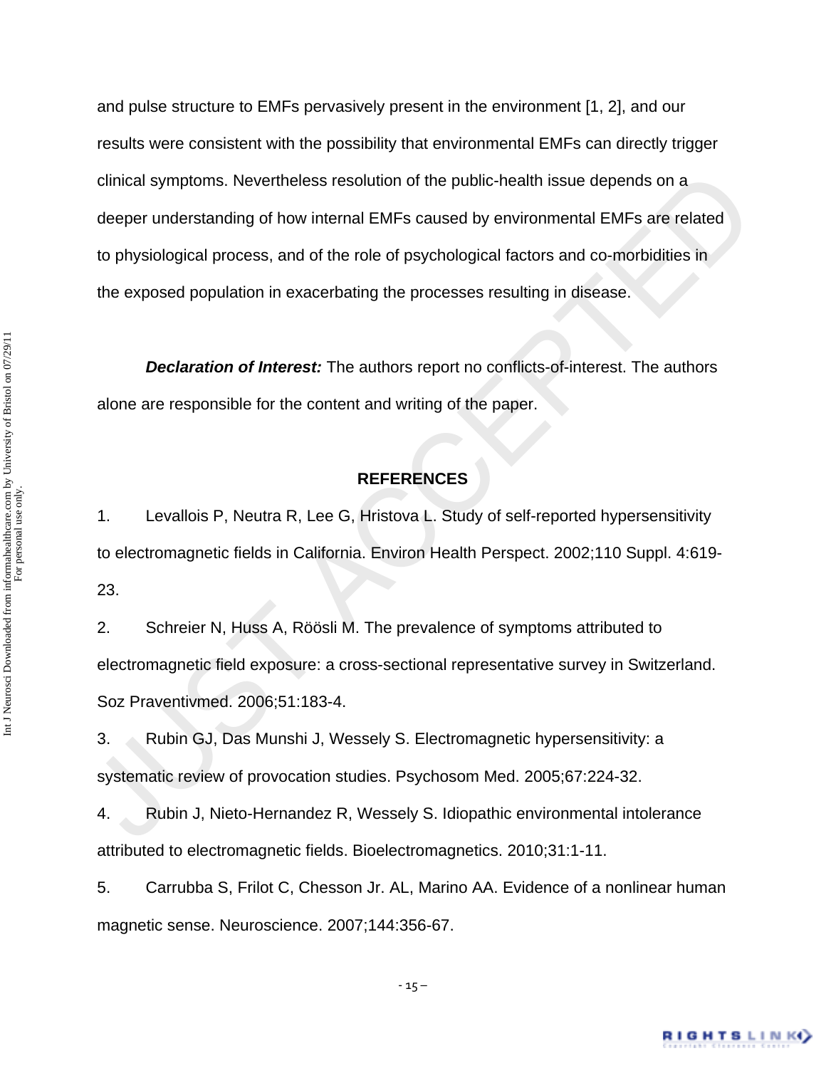clinical symptoms. Nevertheless resolution of the public-health issue depends on a<br>deeper understanding of how internal EMFs caused by environmental EMFs are related<br>to physiological process, and of the role of psychologic and pulse structure to EMFs pervasively present in the environment [1, 2], and our results were consistent with the possibility that environmental EMFs can directly trigger clinical symptoms. Nevertheless resolution of the public-health issue depends on a deeper understanding of how internal EMFs caused by environmental EMFs are related to physiological process, and of the role of psychological factors and co-morbidities in the exposed population in exacerbating the processes resulting in disease.

*Declaration of Interest:* The authors report no conflicts-of-interest. The authors alone are responsible for the content and writing of the paper.

## **REFERENCES**

1. Levallois P, Neutra R, Lee G, Hristova L. Study of self-reported hypersensitivity to electromagnetic fields in California. Environ Health Perspect. 2002;110 Suppl. 4:619- 23.

2. Schreier N, Huss A, Röösli M. The prevalence of symptoms attributed to electromagnetic field exposure: a cross-sectional representative survey in Switzerland. Soz Praventivmed. 2006;51:183-4.

3. Rubin GJ, Das Munshi J, Wessely S. Electromagnetic hypersensitivity: a systematic review of provocation studies. Psychosom Med. 2005;67:224-32.

4. Rubin J, Nieto-Hernandez R, Wessely S. Idiopathic environmental intolerance attributed to electromagnetic fields. Bioelectromagnetics. 2010;31:1-11.

5. Carrubba S, Frilot C, Chesson Jr. AL, Marino AA. Evidence of a nonlinear human magnetic sense. Neuroscience. 2007;144:356-67.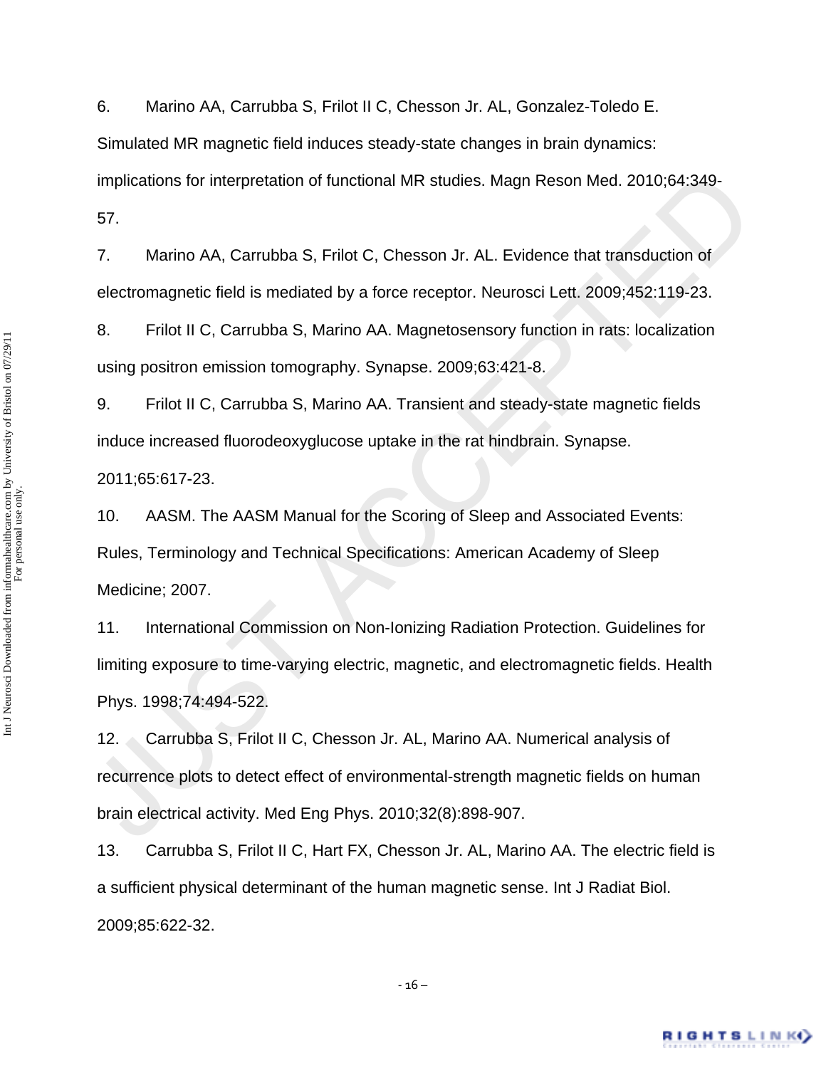6. Marino AA, Carrubba S, Frilot II C, Chesson Jr. AL, Gonzalez-Toledo E. Simulated MR magnetic field induces steady-state changes in brain dynamics: implications for interpretation of functional MR studies. Magn Reson Med. 2010;64:349- 57.

7. Marino AA, Carrubba S, Frilot C, Chesson Jr. AL. Evidence that transduction of electromagnetic field is mediated by a force receptor. Neurosci Lett. 2009;452:119-23.

8. Frilot II C, Carrubba S, Marino AA. Magnetosensory function in rats: localization using positron emission tomography. Synapse. 2009;63:421-8.

9. Frilot II C, Carrubba S, Marino AA. Transient and steady-state magnetic fields induce increased fluorodeoxyglucose uptake in the rat hindbrain. Synapse. 2011;65:617-23.

10. AASM. The AASM Manual for the Scoring of Sleep and Associated Events: Rules, Terminology and Technical Specifications: American Academy of Sleep Medicine; 2007.

implications for interpretation of functional MR studies. Magn Reson Med. 2010;64:349-<br>
57. Marino AA, Carrubba S, Frilot C, Chesson Jr. AL. Evidence that transduction of<br>
electromagnetic field is mediated by a force recep 11. International Commission on Non-Ionizing Radiation Protection. Guidelines for limiting exposure to time-varying electric, magnetic, and electromagnetic fields. Health Phys. 1998;74:494-522.

12. Carrubba S, Frilot II C, Chesson Jr. AL, Marino AA. Numerical analysis of recurrence plots to detect effect of environmental-strength magnetic fields on human brain electrical activity. Med Eng Phys. 2010;32(8):898-907.

13. Carrubba S, Frilot II C, Hart FX, Chesson Jr. AL, Marino AA. The electric field is a sufficient physical determinant of the human magnetic sense. Int J Radiat Biol. 2009;85:622-32.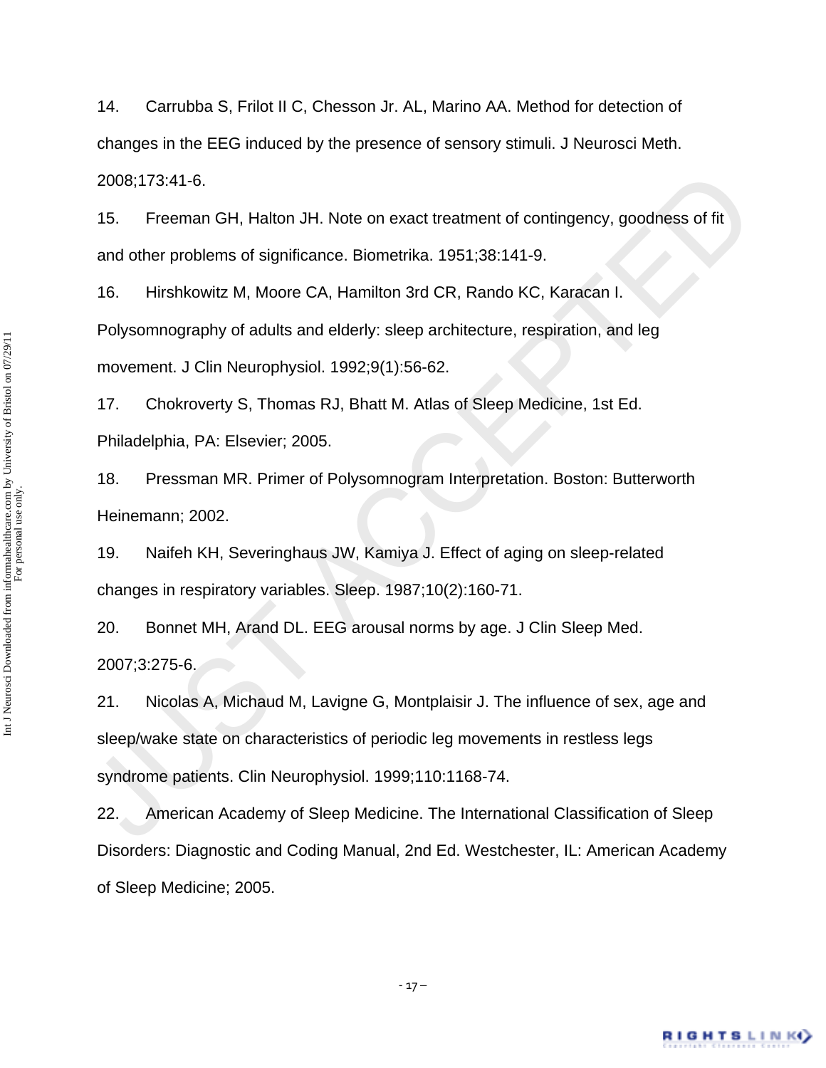14. Carrubba S, Frilot II C, Chesson Jr. AL, Marino AA. Method for detection of changes in the EEG induced by the presence of sensory stimuli. J Neurosci Meth. 2008;173:41-6.

15. Freeman GH, Halton JH. Note on exact treatment of contingency, goodness of fit and other problems of significance. Biometrika. 1951;38:141-9.

16. Hirshkowitz M, Moore CA, Hamilton 3rd CR, Rando KC, Karacan I. Polysomnography of adults and elderly: sleep architecture, respiration, and leg movement. J Clin Neurophysiol. 1992;9(1):56-62.

17. Chokroverty S, Thomas RJ, Bhatt M. Atlas of Sleep Medicine, 1st Ed. Philadelphia, PA: Elsevier; 2005.

18. Pressman MR. Primer of Polysomnogram Interpretation. Boston: Butterworth Heinemann; 2002.

19. Naifeh KH, Severinghaus JW, Kamiya J. Effect of aging on sleep-related changes in respiratory variables. Sleep. 1987;10(2):160-71.

20. Bonnet MH, Arand DL. EEG arousal norms by age. J Clin Sleep Med. 2007;3:275-6.

 $-17-$ 

2008;173:41-6.<br>
15. Freeman GH, Halton JH. Note on exact treatment of contingency, goodness of fit<br>
and other problems of significance. Biometrika. 1951;38:141-9.<br>
16. Hirshkowitz M, Moore CA, Hamilton 3rd CR, Rando KC, Ka 21. Nicolas A, Michaud M, Lavigne G, Montplaisir J. The influence of sex, age and sleep/wake state on characteristics of periodic leg movements in restless legs syndrome patients. Clin Neurophysiol. 1999;110:1168-74.

22. American Academy of Sleep Medicine. The International Classification of Sleep Disorders: Diagnostic and Coding Manual, 2nd Ed. Westchester, IL: American Academy of Sleep Medicine; 2005.

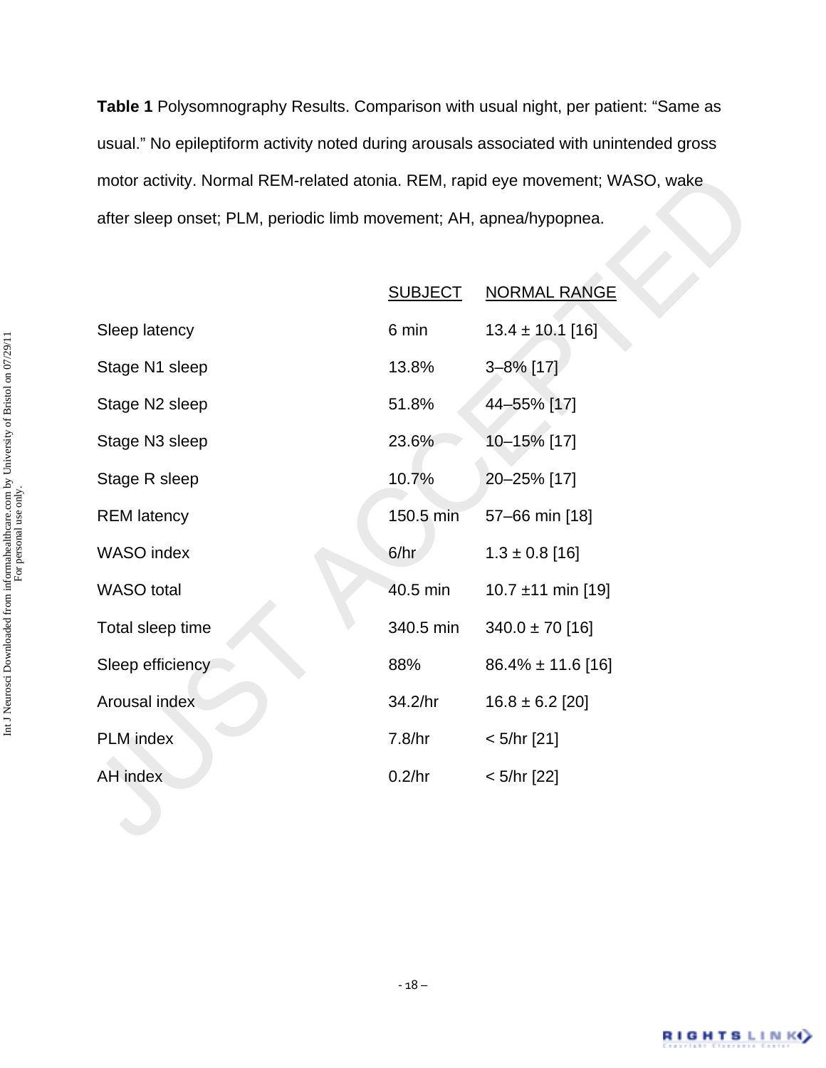**Table 1** Polysomnography Results. Comparison with usual night, per patient: "Same as usual." No epileptiform activity noted during arousals associated with unintended gross motor activity. Normal REM-related atonia. REM, rapid eye movement; WASO, wake after sleep onset; PLM, periodic limb movement; AH, apnea/hypopnea.

| motor activity. Normal REM-related atonia. REM, rapid eye movement; WASO, wake |                |                        |  |  |
|--------------------------------------------------------------------------------|----------------|------------------------|--|--|
| after sleep onset; PLM, periodic limb movement; AH, apnea/hypopnea.            |                |                        |  |  |
|                                                                                |                |                        |  |  |
|                                                                                | <b>SUBJECT</b> | <b>NORMAL RANGE</b>    |  |  |
| Sleep latency                                                                  | 6 min          | $13.4 \pm 10.1$ [16]   |  |  |
| Stage N1 sleep                                                                 | 13.8%          | 3-8% [17]              |  |  |
| Stage N2 sleep                                                                 | 51.8%          | 44-55% [17]            |  |  |
| Stage N3 sleep                                                                 | 23.6%          | 10-15% [17]            |  |  |
| Stage R sleep                                                                  | 10.7%          | 20-25% [17]            |  |  |
| <b>REM</b> latency                                                             | 150.5 min      | 57-66 min [18]         |  |  |
| WASO index                                                                     | 6/hr           | $1.3 \pm 0.8$ [16]     |  |  |
| <b>WASO</b> total                                                              | 40.5 min       | 10.7 ±11 min [19]      |  |  |
| Total sleep time                                                               | 340.5 min      | $340.0 \pm 70$ [16]    |  |  |
| Sleep efficiency                                                               | 88%            | $86.4\% \pm 11.6$ [16] |  |  |
| Arousal index                                                                  | 34.2/hr        | $16.8 \pm 6.2$ [20]    |  |  |
| PLM index                                                                      | 7.8/hr         | $< 5/hr$ [21]          |  |  |
| AH index                                                                       | 0.2/hr         | $< 5/hr$ [22]          |  |  |
|                                                                                |                |                        |  |  |
|                                                                                |                |                        |  |  |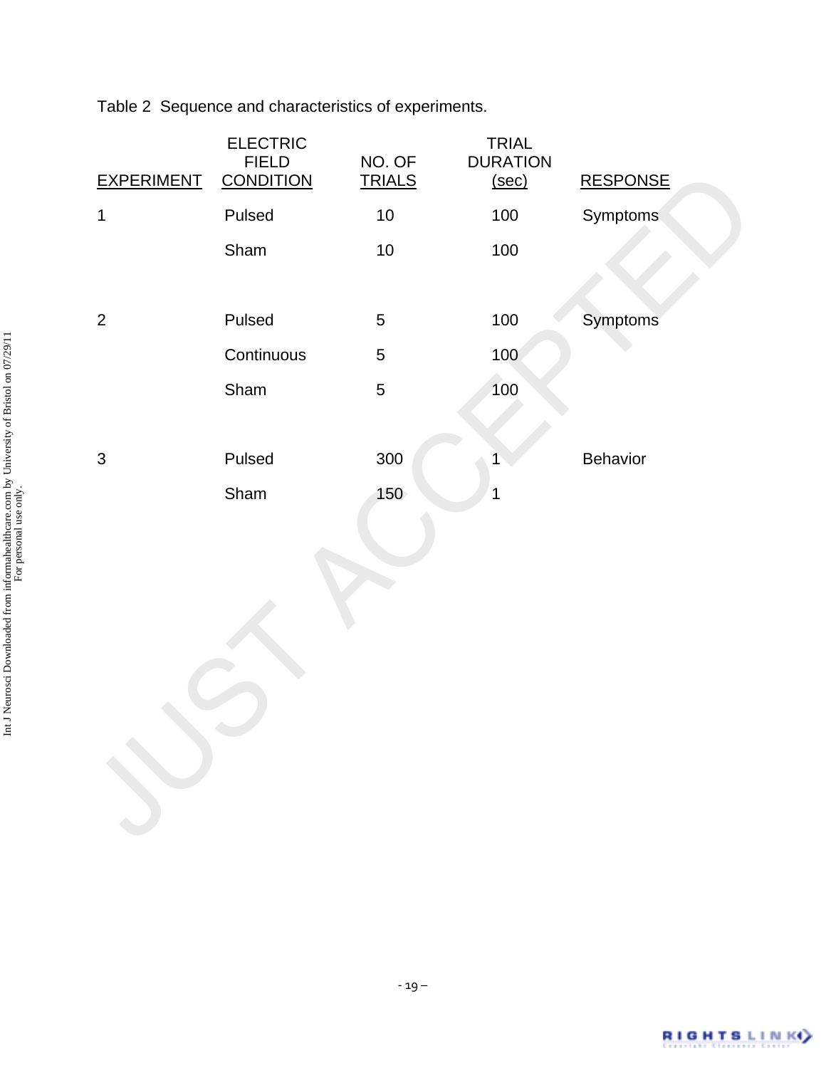Table 2 Sequence and characteristics of experiments.

| <b>EXPERIMENT</b>         | <b>ELECTRIC</b><br><b>FIELD</b><br><b>CONDITION</b> | NO. OF<br><b>TRIALS</b> | <b>TRIAL</b><br><b>DURATION</b><br>(sec) | <b>RESPONSE</b> |
|---------------------------|-----------------------------------------------------|-------------------------|------------------------------------------|-----------------|
| 1                         | Pulsed                                              | $10$                    | 100                                      | Symptoms        |
|                           | Sham                                                | $10$                    | 100                                      |                 |
|                           |                                                     |                         |                                          |                 |
| $\overline{2}$            | Pulsed                                              | 5                       | 100                                      | Symptoms        |
|                           | Continuous                                          | 5                       | 100                                      |                 |
|                           | Sham                                                | 5                       | 100                                      |                 |
|                           |                                                     |                         |                                          |                 |
| $\ensuremath{\mathsf{3}}$ | Pulsed                                              | 300                     |                                          | Behavior        |
|                           | Sham                                                | 150                     | 1                                        |                 |
|                           |                                                     |                         |                                          |                 |
|                           |                                                     |                         |                                          |                 |
|                           |                                                     |                         |                                          |                 |
|                           |                                                     |                         |                                          |                 |
|                           |                                                     |                         |                                          |                 |
|                           |                                                     |                         |                                          |                 |
|                           |                                                     |                         |                                          |                 |
|                           |                                                     |                         |                                          |                 |
|                           |                                                     |                         |                                          |                 |
|                           |                                                     |                         |                                          |                 |

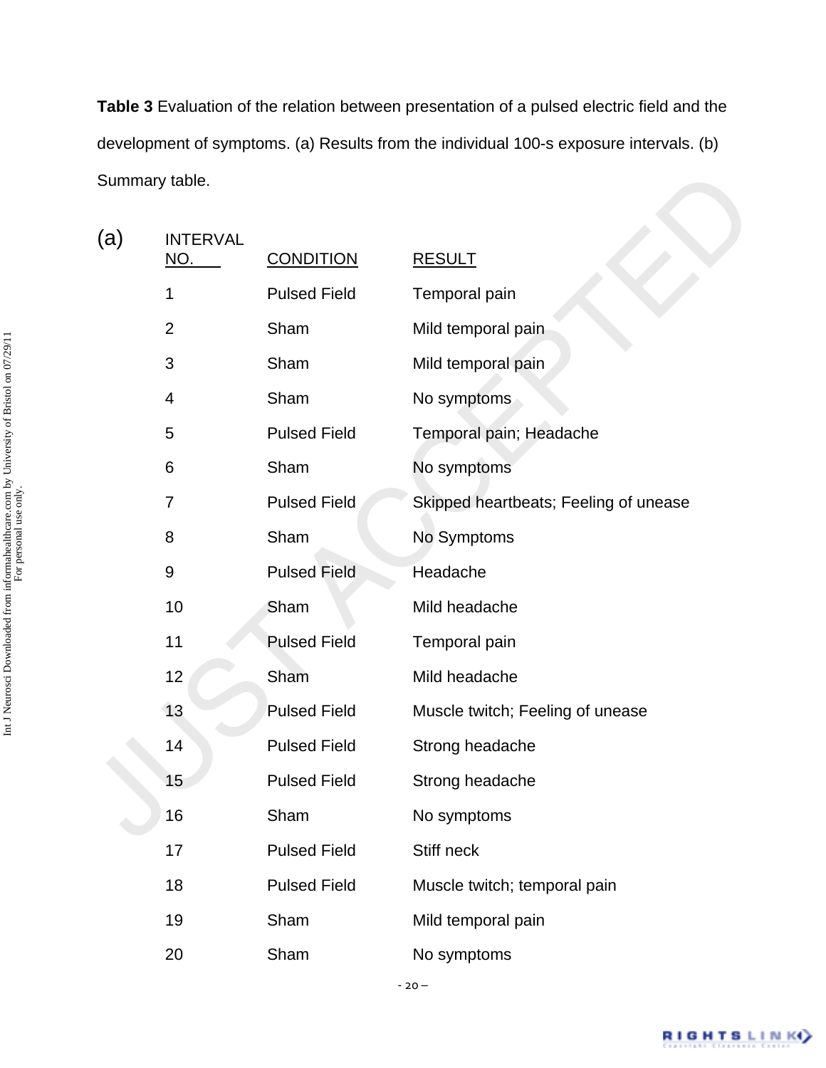**Table 3** Evaluation of the relation between presentation of a pulsed electric field and the development of symptoms. (a) Results from the individual 100-s exposure intervals. (b) Summary table.

| Summary table. |                               |                     |                                       |  |
|----------------|-------------------------------|---------------------|---------------------------------------|--|
| (a)            | <b>INTERVAL</b><br><u>NO.</u> | <b>CONDITION</b>    | <b>RESULT</b>                         |  |
|                | 1                             | <b>Pulsed Field</b> | Temporal pain                         |  |
|                | $\overline{2}$                | Sham                | Mild temporal pain                    |  |
|                | 3                             | Sham                | Mild temporal pain                    |  |
|                | 4                             | Sham                | No symptoms                           |  |
|                | 5                             | <b>Pulsed Field</b> | Temporal pain; Headache               |  |
|                | 6                             | Sham                | No symptoms                           |  |
|                | 7                             | <b>Pulsed Field</b> | Skipped heartbeats; Feeling of unease |  |
|                | 8                             | Sham                | No Symptoms                           |  |
|                | 9                             | <b>Pulsed Field</b> | Headache                              |  |
|                | 10                            | Sham                | Mild headache                         |  |
|                | 11                            | <b>Pulsed Field</b> | Temporal pain                         |  |
|                | 12                            | Sham                | Mild headache                         |  |
|                | 13                            | <b>Pulsed Field</b> | Muscle twitch; Feeling of unease      |  |
|                | 14                            | <b>Pulsed Field</b> | Strong headache                       |  |
|                | 15                            | <b>Pulsed Field</b> | Strong headache                       |  |
|                | 16                            | Sham                | No symptoms                           |  |
|                | 17                            | <b>Pulsed Field</b> | Stiff neck                            |  |
|                | 18                            | <b>Pulsed Field</b> | Muscle twitch; temporal pain          |  |
|                | 19                            | Sham                | Mild temporal pain                    |  |
|                | 20                            | Sham                | No symptoms                           |  |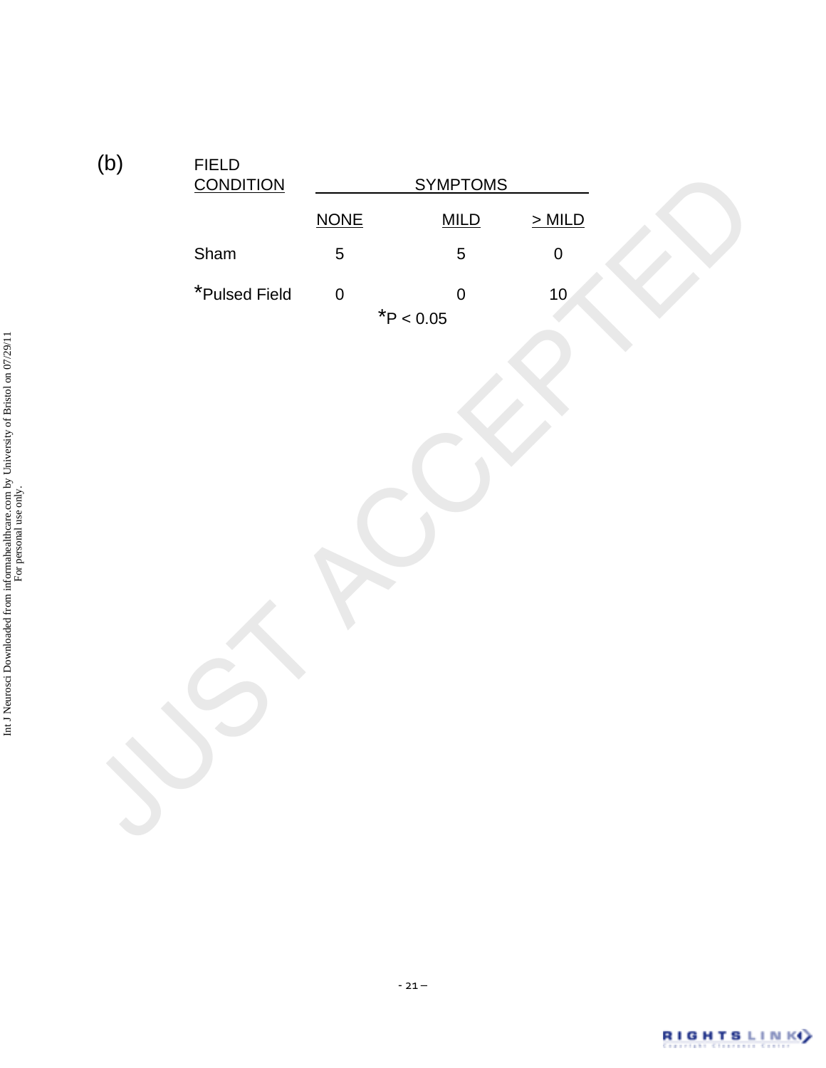| <b>NONE</b><br>$>$ MILD<br>MILD<br>$\pmb{0}$<br>Sham<br>5<br>$\overline{5}$<br>*Pulsed Field<br>$\overline{0}$<br>10 <sub>1</sub><br>$\pmb{0}$<br>$*P < 0.05$ | (b) | ${\sf FIED}$<br><b>CONDITION</b> | <b>SYMPTOMS</b> |  |
|---------------------------------------------------------------------------------------------------------------------------------------------------------------|-----|----------------------------------|-----------------|--|
|                                                                                                                                                               |     |                                  |                 |  |
|                                                                                                                                                               |     |                                  |                 |  |
|                                                                                                                                                               |     |                                  |                 |  |
|                                                                                                                                                               |     |                                  |                 |  |

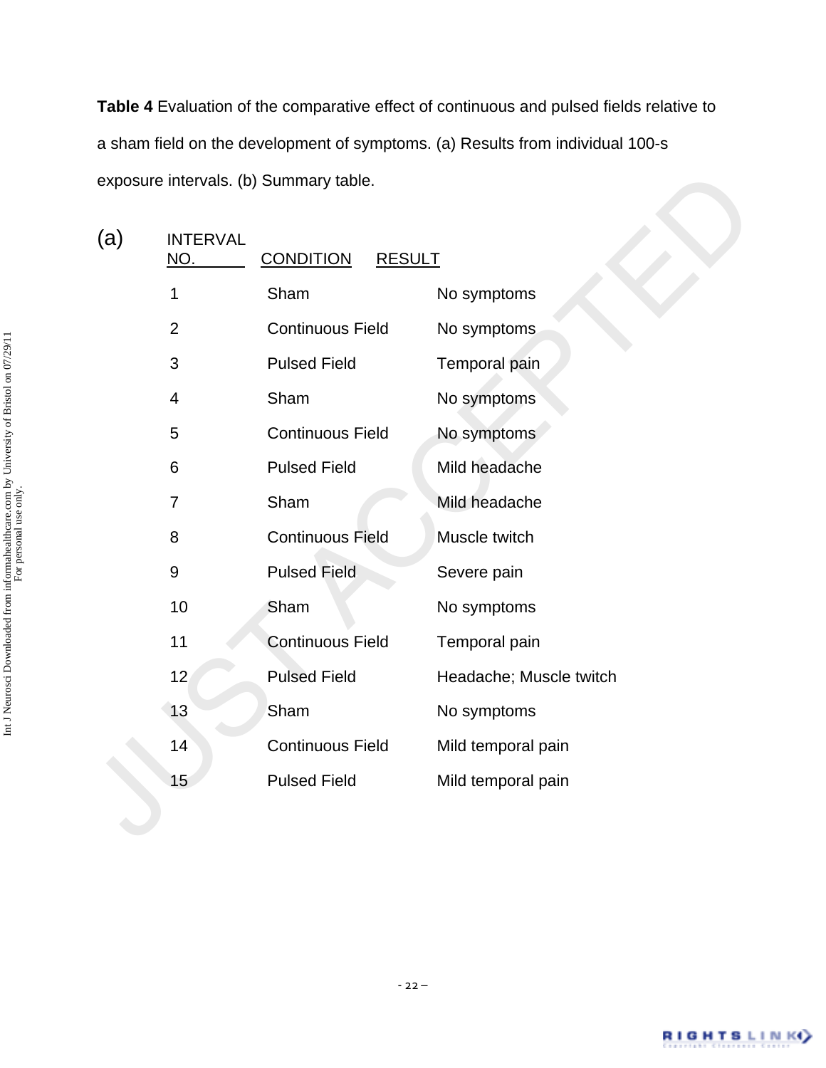**Table 4** Evaluation of the comparative effect of continuous and pulsed fields relative to a sham field on the development of symptoms. (a) Results from individual 100-s exposure intervals. (b) Summary table.

| exposure intervals. (b) Summary table. |                               |                                   |                         |  |
|----------------------------------------|-------------------------------|-----------------------------------|-------------------------|--|
| (a)                                    | <b>INTERVAL</b><br><u>NO.</u> | <b>CONDITION</b><br><b>RESULT</b> |                         |  |
|                                        | 1                             | Sham                              | No symptoms             |  |
|                                        | $\overline{2}$                | <b>Continuous Field</b>           | No symptoms             |  |
|                                        | 3                             | <b>Pulsed Field</b>               | Temporal pain           |  |
|                                        | $\overline{4}$                | Sham                              | No symptoms             |  |
|                                        | 5                             | <b>Continuous Field</b>           | No symptoms             |  |
|                                        | 6                             | <b>Pulsed Field</b>               | Mild headache           |  |
|                                        | 7                             | Sham                              | Mild headache           |  |
|                                        | 8                             | <b>Continuous Field</b>           | Muscle twitch           |  |
|                                        | 9                             | <b>Pulsed Field</b>               | Severe pain             |  |
|                                        | 10                            | Sham                              | No symptoms             |  |
|                                        | 11                            | <b>Continuous Field</b>           | Temporal pain           |  |
|                                        | 12                            | <b>Pulsed Field</b>               | Headache; Muscle twitch |  |
|                                        | 13                            | Sham                              | No symptoms             |  |
|                                        | 14                            | <b>Continuous Field</b>           | Mild temporal pain      |  |
|                                        | 15                            | <b>Pulsed Field</b>               | Mild temporal pain      |  |
|                                        |                               |                                   |                         |  |
|                                        |                               |                                   |                         |  |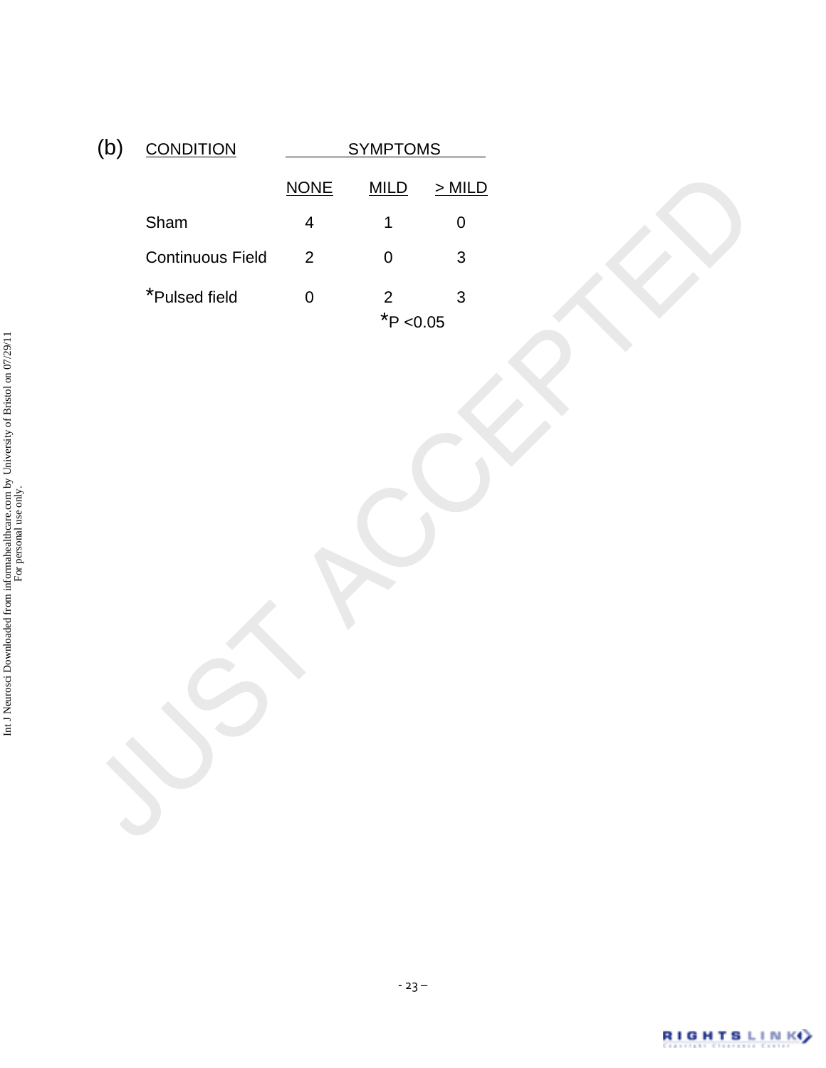| (b) | <b>CONDITION</b> | <b>SYMPTOMS</b>         |                               |           |
|-----|------------------|-------------------------|-------------------------------|-----------|
|     |                  | <b>NONE</b>             | MILD                          | $>$ MILD  |
|     | Sham             | $\overline{\mathbf{4}}$ | $\mathbf 1$                   | $\pmb{0}$ |
|     | Continuous Field | $\overline{2}$          | $\mathbf 0$                   | 3         |
|     | *Pulsed field    | $\mathbf 0$             | $\overline{c}$<br>$*$ P <0.05 | 3         |
|     |                  |                         |                               |           |
|     |                  |                         |                               |           |
|     |                  |                         |                               |           |
|     |                  |                         |                               |           |
|     |                  |                         |                               |           |
|     |                  |                         |                               |           |
|     |                  |                         |                               |           |
|     |                  |                         |                               |           |
|     |                  |                         |                               |           |
|     |                  |                         |                               |           |
|     |                  |                         |                               |           |

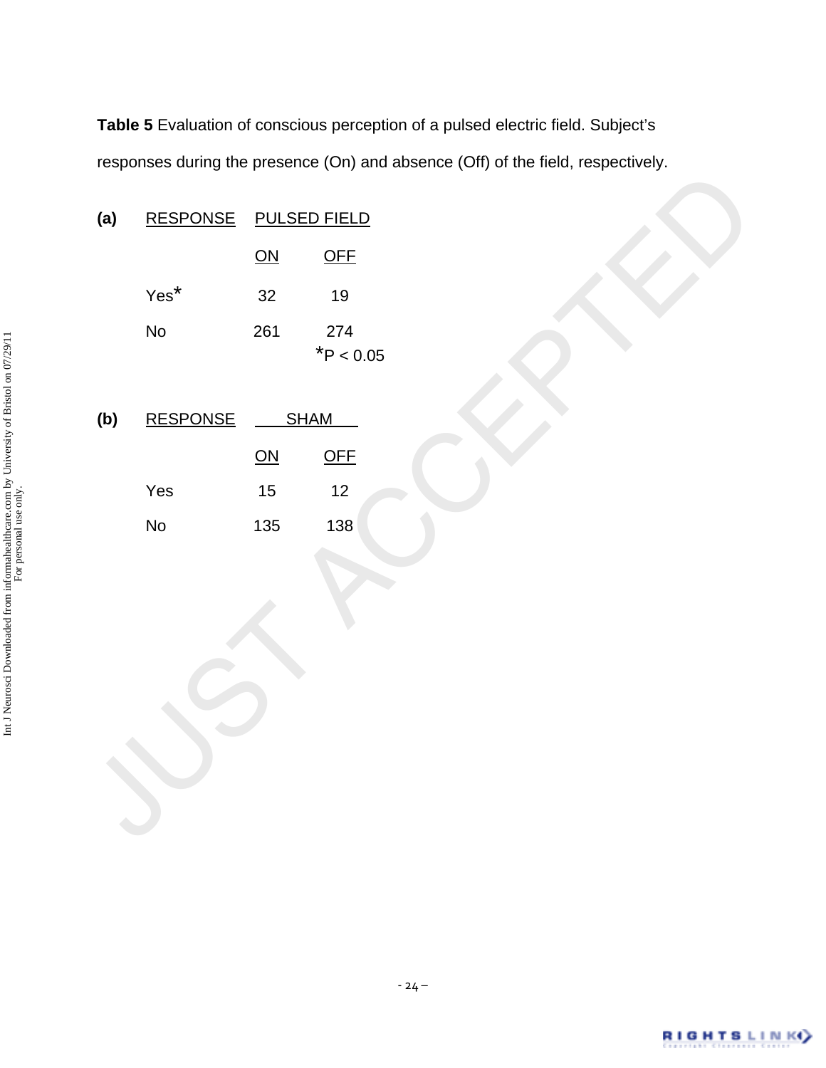**Table 5** Evaluation of conscious perception of a pulsed electric field. Subject's responses during the presence (On) and absence (Off) of the field, respectively.

|     |                 |                       | $\overline{\phantom{a}}$ |  |
|-----|-----------------|-----------------------|--------------------------|--|
| (a) |                 | RESPONSE PULSED FIELD |                          |  |
|     |                 | $\overline{ON}$       | OFE                      |  |
|     | $Yes^*$         | 32                    | $19$                     |  |
|     | No              | 261                   | 274<br>$*P < 0.05$       |  |
| (b) | <b>RESPONSE</b> | <b>SHAM</b>           |                          |  |
|     |                 | $\overline{ON}$       | OFF                      |  |
|     | Yes             | $15\,$                | 12                       |  |
|     | No              | 135                   | 138                      |  |
|     |                 |                       |                          |  |
|     |                 |                       |                          |  |
|     |                 |                       |                          |  |
|     |                 |                       |                          |  |
|     |                 |                       |                          |  |
|     |                 |                       |                          |  |
|     |                 |                       |                          |  |
|     |                 |                       |                          |  |